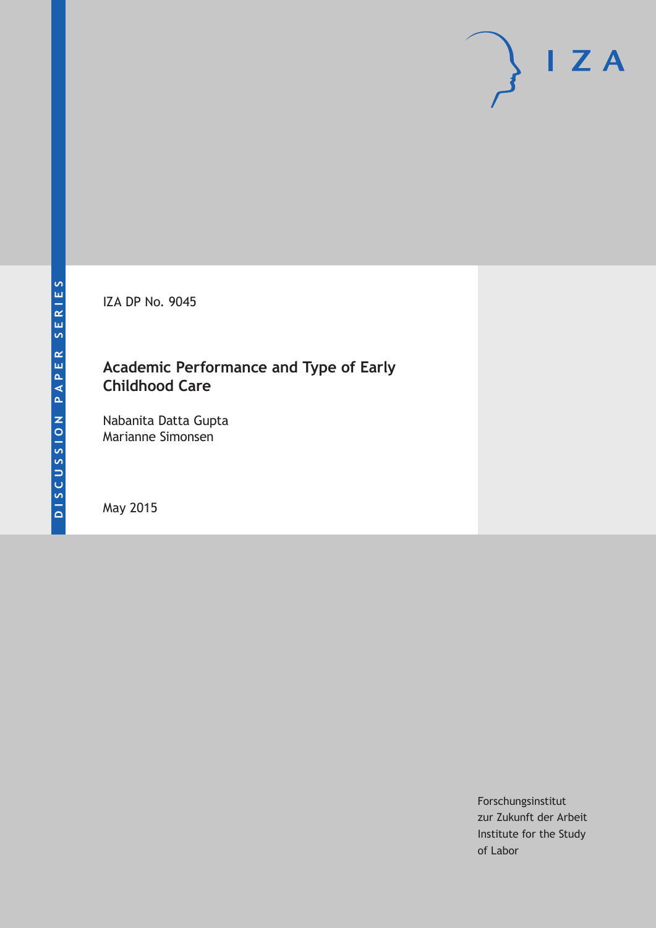IZA DP No. 9045

# **Academic Performance and Type of Early Childhood Care**

Nabanita Datta Gupta Marianne Simonsen

May 2015

Forschungsinstitut zur Zukunft der Arbeit Institute for the Study of Labor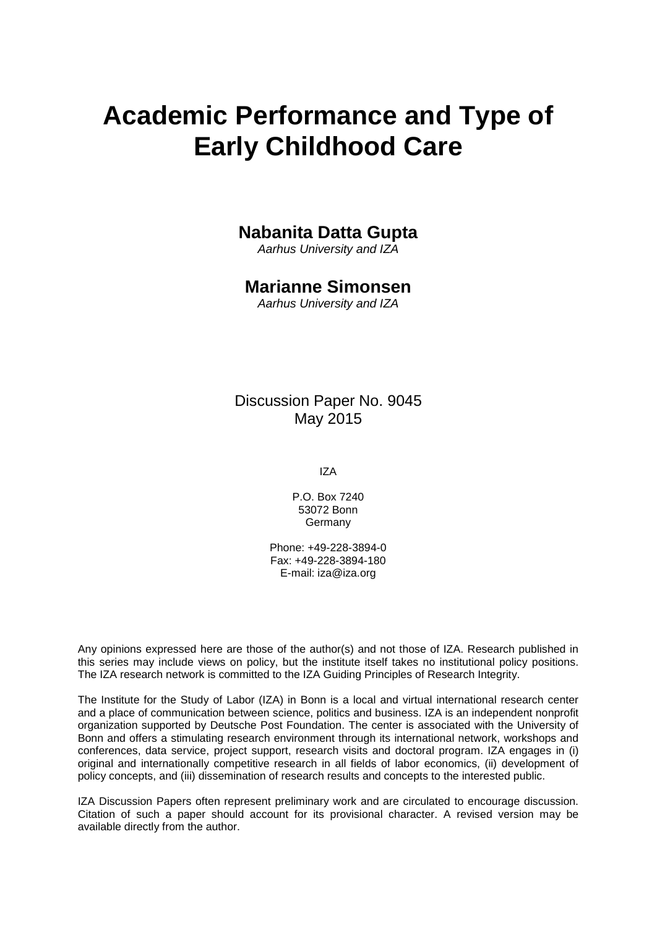# **Academic Performance and Type of Early Childhood Care**

# **Nabanita Datta Gupta**

*Aarhus University and IZA*

# **Marianne Simonsen**

*Aarhus University and IZA*

Discussion Paper No. 9045 May 2015

IZA

P.O. Box 7240 53072 Bonn Germany

Phone: +49-228-3894-0 Fax: +49-228-3894-180 E-mail: iza@iza.org

Any opinions expressed here are those of the author(s) and not those of IZA. Research published in this series may include views on policy, but the institute itself takes no institutional policy positions. The IZA research network is committed to the IZA Guiding Principles of Research Integrity.

The Institute for the Study of Labor (IZA) in Bonn is a local and virtual international research center and a place of communication between science, politics and business. IZA is an independent nonprofit organization supported by Deutsche Post Foundation. The center is associated with the University of Bonn and offers a stimulating research environment through its international network, workshops and conferences, data service, project support, research visits and doctoral program. IZA engages in (i) original and internationally competitive research in all fields of labor economics, (ii) development of policy concepts, and (iii) dissemination of research results and concepts to the interested public.

<span id="page-1-0"></span>IZA Discussion Papers often represent preliminary work and are circulated to encourage discussion. Citation of such a paper should account for its provisional character. A revised version may be available directly from the author.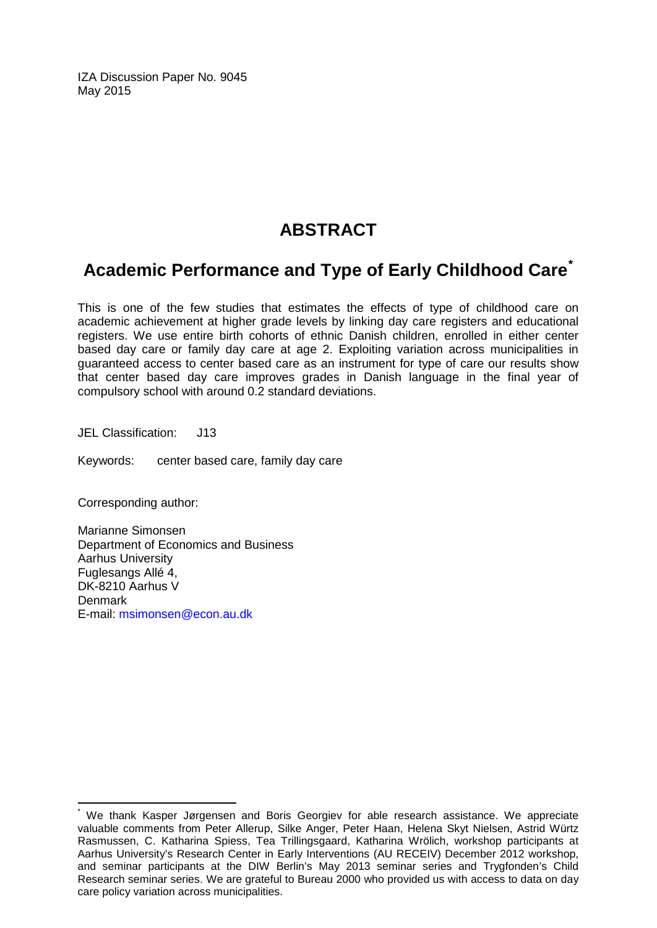IZA Discussion Paper No. 9045 May 2015

# **ABSTRACT**

# **Academic Performance and Type of Early Childhood Care[\\*](#page-1-0)**

This is one of the few studies that estimates the effects of type of childhood care on academic achievement at higher grade levels by linking day care registers and educational registers. We use entire birth cohorts of ethnic Danish children, enrolled in either center based day care or family day care at age 2. Exploiting variation across municipalities in guaranteed access to center based care as an instrument for type of care our results show that center based day care improves grades in Danish language in the final year of compulsory school with around 0.2 standard deviations.

JEL Classification: J13

Keywords: center based care, family day care

Corresponding author:

Marianne Simonsen Department of Economics and Business Aarhus University Fuglesangs Allé 4, DK-8210 Aarhus V **Denmark** E-mail: [msimonsen@econ.au.dk](mailto:msimonsen@econ.au.dk)

We thank Kasper Jørgensen and Boris Georgiev for able research assistance. We appreciate valuable comments from Peter Allerup, Silke Anger, Peter Haan, Helena Skyt Nielsen, Astrid Würtz Rasmussen, C. Katharina Spiess, Tea Trillingsgaard, Katharina Wrölich, workshop participants at Aarhus University's Research Center in Early Interventions (AU RECEIV) December 2012 workshop, and seminar participants at the DIW Berlin's May 2013 seminar series and Trygfonden's Child Research seminar series. We are grateful to Bureau 2000 who provided us with access to data on day care policy variation across municipalities.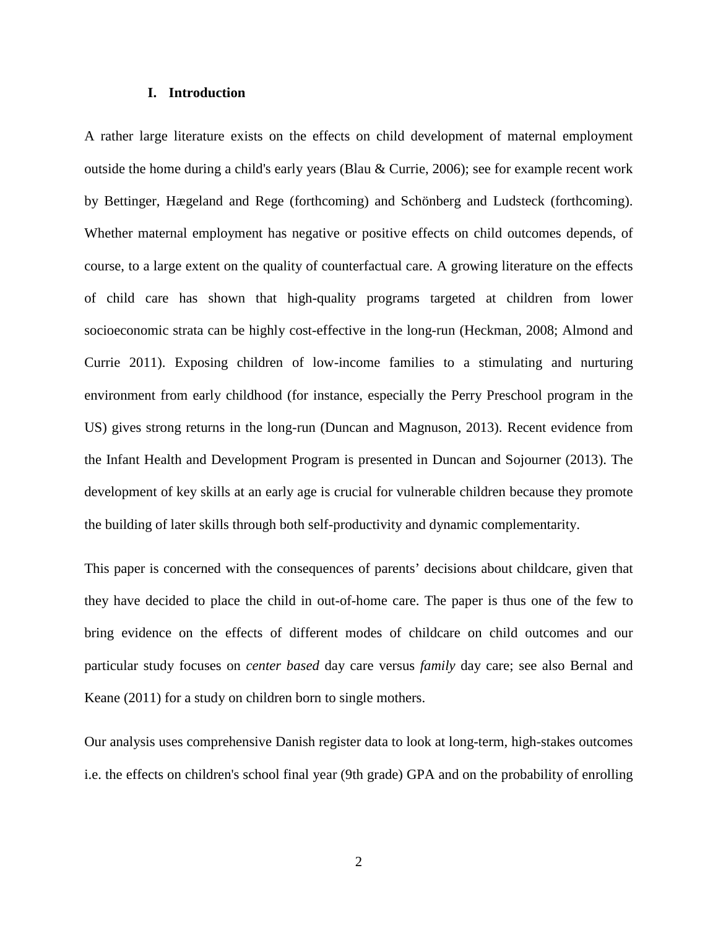#### **I. Introduction**

A rather large literature exists on the effects on child development of maternal employment outside the home during a child's early years (Blau & Currie, 2006); see for example recent work by Bettinger, Hægeland and Rege (forthcoming) and Schönberg and Ludsteck (forthcoming). Whether maternal employment has negative or positive effects on child outcomes depends, of course, to a large extent on the quality of counterfactual care. A growing literature on the effects of child care has shown that high-quality programs targeted at children from lower socioeconomic strata can be highly cost-effective in the long-run (Heckman, 2008; Almond and Currie 2011). Exposing children of low-income families to a stimulating and nurturing environment from early childhood (for instance, especially the Perry Preschool program in the US) gives strong returns in the long-run (Duncan and Magnuson, 2013). Recent evidence from the Infant Health and Development Program is presented in Duncan and Sojourner (2013). The development of key skills at an early age is crucial for vulnerable children because they promote the building of later skills through both self-productivity and dynamic complementarity.

This paper is concerned with the consequences of parents' decisions about childcare, given that they have decided to place the child in out-of-home care. The paper is thus one of the few to bring evidence on the effects of different modes of childcare on child outcomes and our particular study focuses on *center based* day care versus *family* day care; see also Bernal and Keane (2011) for a study on children born to single mothers.

Our analysis uses comprehensive Danish register data to look at long-term, high-stakes outcomes i.e. the effects on children's school final year (9th grade) GPA and on the probability of enrolling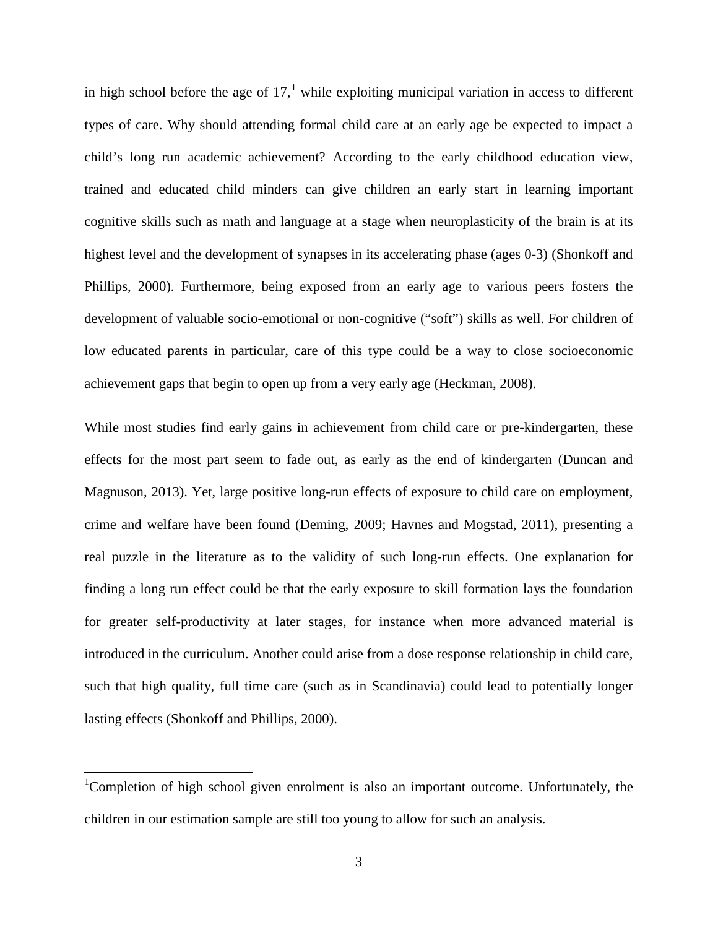in high school before the age of  $17<sup>1</sup>$  $17<sup>1</sup>$  while exploiting municipal variation in access to different types of care. Why should attending formal child care at an early age be expected to impact a child's long run academic achievement? According to the early childhood education view, trained and educated child minders can give children an early start in learning important cognitive skills such as math and language at a stage when neuroplasticity of the brain is at its highest level and the development of synapses in its accelerating phase (ages 0-3) (Shonkoff and Phillips, 2000). Furthermore, being exposed from an early age to various peers fosters the development of valuable socio-emotional or non-cognitive ("soft") skills as well. For children of low educated parents in particular, care of this type could be a way to close socioeconomic achievement gaps that begin to open up from a very early age (Heckman, 2008).

While most studies find early gains in achievement from child care or pre-kindergarten, these effects for the most part seem to fade out, as early as the end of kindergarten (Duncan and Magnuson, 2013). Yet, large positive long-run effects of exposure to child care on employment, crime and welfare have been found (Deming, 2009; Havnes and Mogstad, 2011), presenting a real puzzle in the literature as to the validity of such long-run effects. One explanation for finding a long run effect could be that the early exposure to skill formation lays the foundation for greater self-productivity at later stages, for instance when more advanced material is introduced in the curriculum. Another could arise from a dose response relationship in child care, such that high quality, full time care (such as in Scandinavia) could lead to potentially longer lasting effects (Shonkoff and Phillips, 2000).

<span id="page-4-0"></span><sup>&</sup>lt;sup>1</sup>Completion of high school given enrolment is also an important outcome. Unfortunately, the children in our estimation sample are still too young to allow for such an analysis.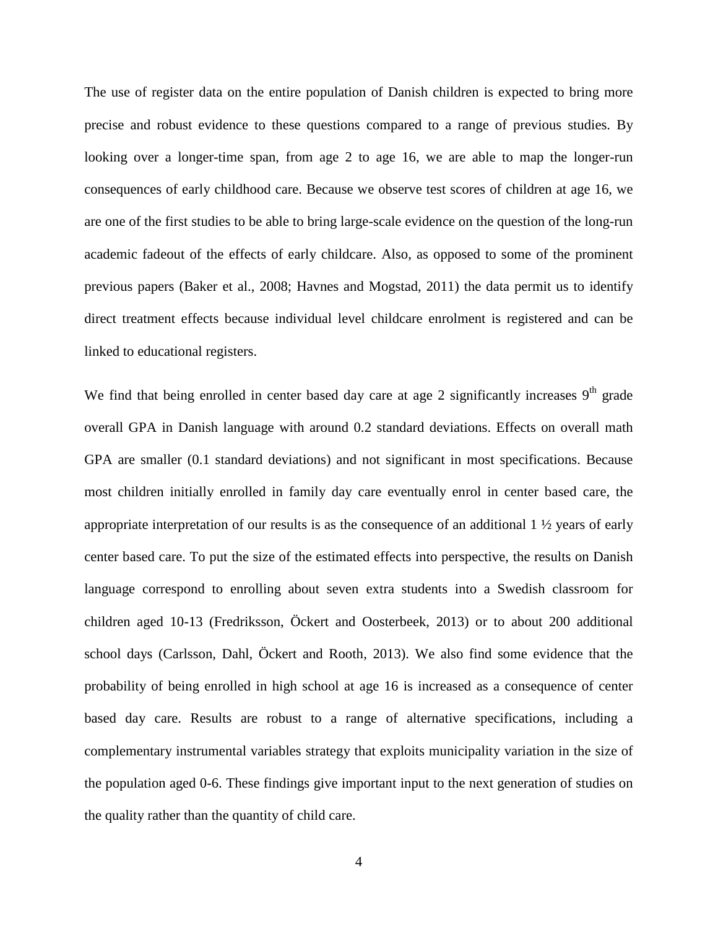The use of register data on the entire population of Danish children is expected to bring more precise and robust evidence to these questions compared to a range of previous studies. By looking over a longer-time span, from age 2 to age 16, we are able to map the longer-run consequences of early childhood care. Because we observe test scores of children at age 16, we are one of the first studies to be able to bring large-scale evidence on the question of the long-run academic fadeout of the effects of early childcare. Also, as opposed to some of the prominent previous papers (Baker et al., 2008; Havnes and Mogstad, 2011) the data permit us to identify direct treatment effects because individual level childcare enrolment is registered and can be linked to educational registers.

We find that being enrolled in center based day care at age 2 significantly increases  $9<sup>th</sup>$  grade overall GPA in Danish language with around 0.2 standard deviations. Effects on overall math GPA are smaller (0.1 standard deviations) and not significant in most specifications. Because most children initially enrolled in family day care eventually enrol in center based care, the appropriate interpretation of our results is as the consequence of an additional  $1 \frac{1}{2}$  years of early center based care. To put the size of the estimated effects into perspective, the results on Danish language correspond to enrolling about seven extra students into a Swedish classroom for children aged 10-13 (Fredriksson, Öckert and Oosterbeek, 2013) or to about 200 additional school days (Carlsson, Dahl, Öckert and Rooth, 2013). We also find some evidence that the probability of being enrolled in high school at age 16 is increased as a consequence of center based day care. Results are robust to a range of alternative specifications, including a complementary instrumental variables strategy that exploits municipality variation in the size of the population aged 0-6. These findings give important input to the next generation of studies on the quality rather than the quantity of child care.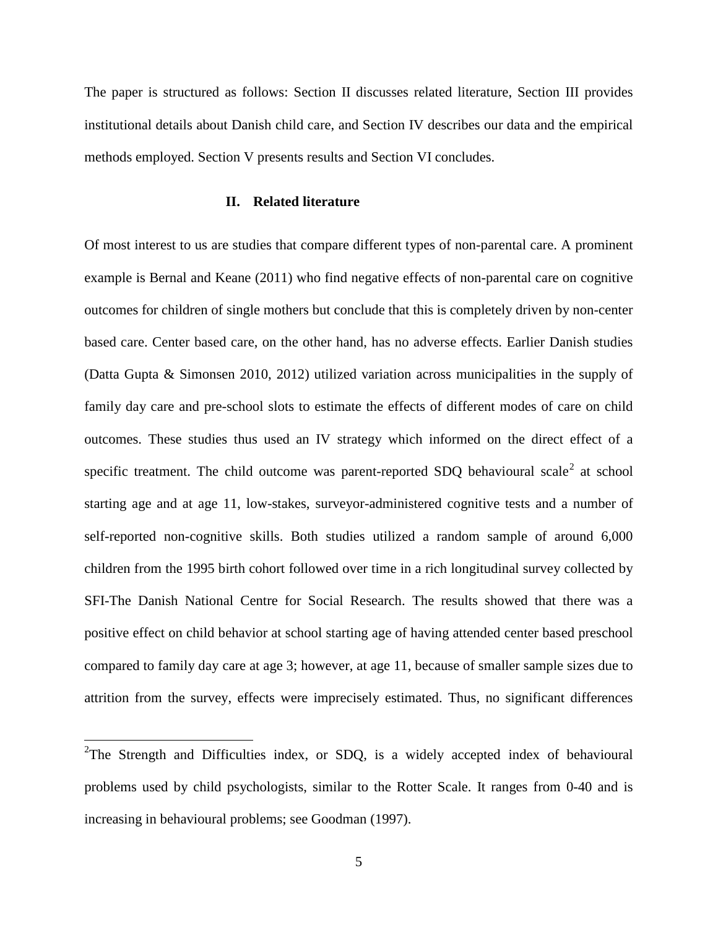The paper is structured as follows: Section II discusses related literature, Section III provides institutional details about Danish child care, and Section IV describes our data and the empirical methods employed. Section V presents results and Section VI concludes.

#### **II. Related literature**

Of most interest to us are studies that compare different types of non-parental care. A prominent example is Bernal and Keane (2011) who find negative effects of non-parental care on cognitive outcomes for children of single mothers but conclude that this is completely driven by non-center based care. Center based care, on the other hand, has no adverse effects. Earlier Danish studies (Datta Gupta & Simonsen 2010, 2012) utilized variation across municipalities in the supply of family day care and pre-school slots to estimate the effects of different modes of care on child outcomes. These studies thus used an IV strategy which informed on the direct effect of a specific treatment. The child outcome was parent-reported SDQ behavioural scale<sup>[2](#page-6-0)</sup> at school starting age and at age 11, low-stakes, surveyor-administered cognitive tests and a number of self-reported non-cognitive skills. Both studies utilized a random sample of around 6,000 children from the 1995 birth cohort followed over time in a rich longitudinal survey collected by SFI-The Danish National Centre for Social Research. The results showed that there was a positive effect on child behavior at school starting age of having attended center based preschool compared to family day care at age 3; however, at age 11, because of smaller sample sizes due to attrition from the survey, effects were imprecisely estimated. Thus, no significant differences

<span id="page-6-0"></span><sup>&</sup>lt;sup>2</sup>The Strength and Difficulties index, or SDQ, is a widely accepted index of behavioural problems used by child psychologists, similar to the Rotter Scale. It ranges from 0-40 and is increasing in behavioural problems; see Goodman (1997).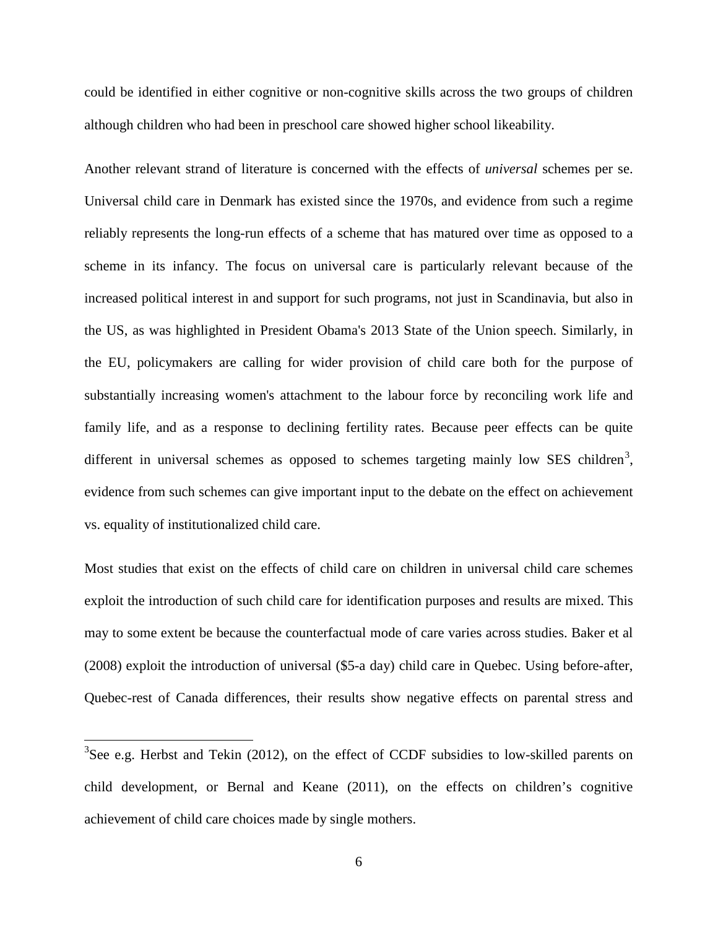could be identified in either cognitive or non-cognitive skills across the two groups of children although children who had been in preschool care showed higher school likeability.

Another relevant strand of literature is concerned with the effects of *universal* schemes per se. Universal child care in Denmark has existed since the 1970s, and evidence from such a regime reliably represents the long-run effects of a scheme that has matured over time as opposed to a scheme in its infancy. The focus on universal care is particularly relevant because of the increased political interest in and support for such programs, not just in Scandinavia, but also in the US, as was highlighted in President Obama's 2013 State of the Union speech. Similarly, in the EU, policymakers are calling for wider provision of child care both for the purpose of substantially increasing women's attachment to the labour force by reconciling work life and family life, and as a response to declining fertility rates. Because peer effects can be quite different in universal schemes as opposed to schemes targeting mainly low SES children<sup>[3](#page-7-0)</sup>, evidence from such schemes can give important input to the debate on the effect on achievement vs. equality of institutionalized child care.

Most studies that exist on the effects of child care on children in universal child care schemes exploit the introduction of such child care for identification purposes and results are mixed. This may to some extent be because the counterfactual mode of care varies across studies. Baker et al (2008) exploit the introduction of universal (\$5-a day) child care in Quebec. Using before-after, Quebec-rest of Canada differences, their results show negative effects on parental stress and

<span id="page-7-0"></span> $3$ See e.g. Herbst and Tekin (2012), on the effect of CCDF subsidies to low-skilled parents on child development, or Bernal and Keane (2011), on the effects on children's cognitive achievement of child care choices made by single mothers.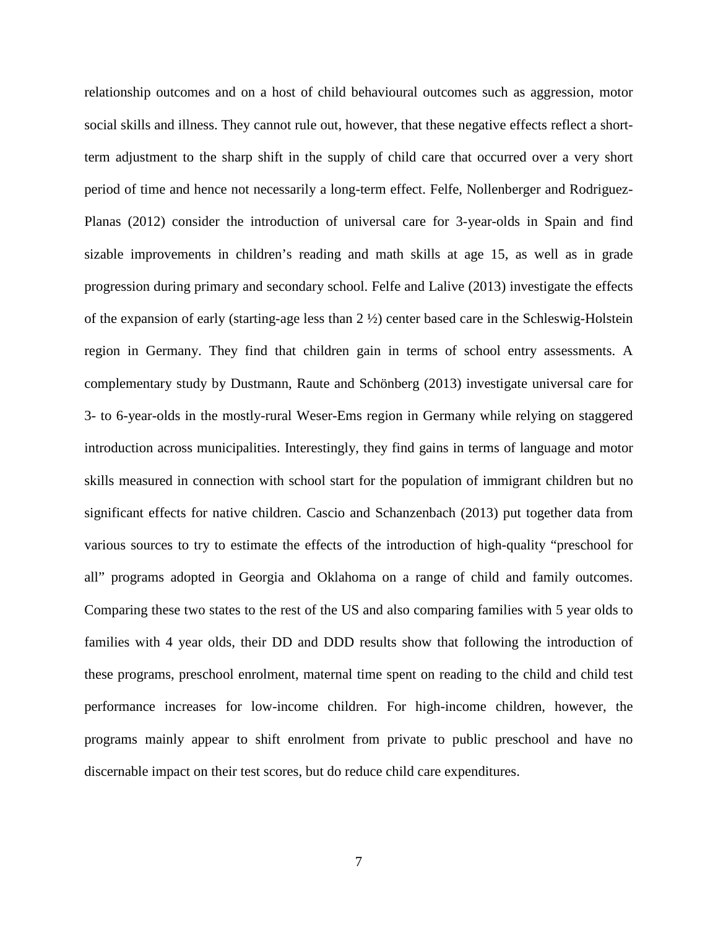relationship outcomes and on a host of child behavioural outcomes such as aggression, motor social skills and illness. They cannot rule out, however, that these negative effects reflect a shortterm adjustment to the sharp shift in the supply of child care that occurred over a very short period of time and hence not necessarily a long-term effect. Felfe, Nollenberger and Rodriguez-Planas (2012) consider the introduction of universal care for 3-year-olds in Spain and find sizable improvements in children's reading and math skills at age 15, as well as in grade progression during primary and secondary school. Felfe and Lalive (2013) investigate the effects of the expansion of early (starting-age less than 2 ½) center based care in the Schleswig-Holstein region in Germany. They find that children gain in terms of school entry assessments. A complementary study by Dustmann, Raute and Schönberg (2013) investigate universal care for 3- to 6-year-olds in the mostly-rural Weser-Ems region in Germany while relying on staggered introduction across municipalities. Interestingly, they find gains in terms of language and motor skills measured in connection with school start for the population of immigrant children but no significant effects for native children. Cascio and Schanzenbach (2013) put together data from various sources to try to estimate the effects of the introduction of high-quality "preschool for all" programs adopted in Georgia and Oklahoma on a range of child and family outcomes. Comparing these two states to the rest of the US and also comparing families with 5 year olds to families with 4 year olds, their DD and DDD results show that following the introduction of these programs, preschool enrolment, maternal time spent on reading to the child and child test performance increases for low-income children. For high-income children, however, the programs mainly appear to shift enrolment from private to public preschool and have no discernable impact on their test scores, but do reduce child care expenditures.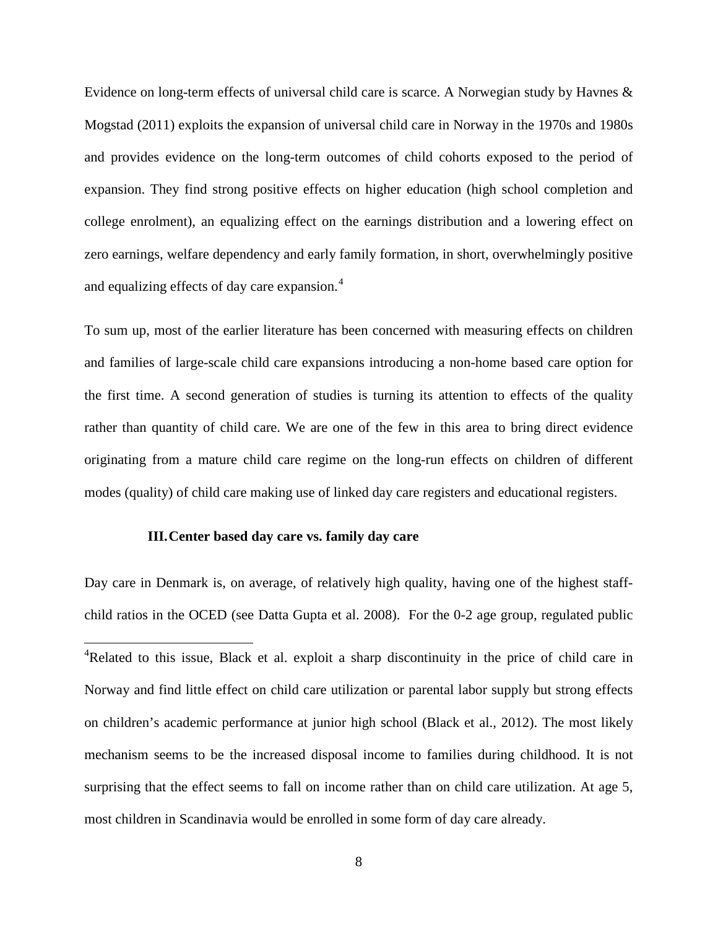Evidence on long-term effects of universal child care is scarce. A Norwegian study by Havnes & Mogstad (2011) exploits the expansion of universal child care in Norway in the 1970s and 1980s and provides evidence on the long-term outcomes of child cohorts exposed to the period of expansion. They find strong positive effects on higher education (high school completion and college enrolment), an equalizing effect on the earnings distribution and a lowering effect on zero earnings, welfare dependency and early family formation, in short, overwhelmingly positive and equalizing effects of day care expansion.<sup>[4](#page-9-0)</sup>

To sum up, most of the earlier literature has been concerned with measuring effects on children and families of large-scale child care expansions introducing a non-home based care option for the first time. A second generation of studies is turning its attention to effects of the quality rather than quantity of child care. We are one of the few in this area to bring direct evidence originating from a mature child care regime on the long-run effects on children of different modes (quality) of child care making use of linked day care registers and educational registers.

#### **III.Center based day care vs. family day care**

l

Day care in Denmark is, on average, of relatively high quality, having one of the highest staffchild ratios in the OCED (see Datta Gupta et al. 2008). For the 0-2 age group, regulated public

<span id="page-9-0"></span><sup>&</sup>lt;sup>4</sup>Related to this issue, Black et al. exploit a sharp discontinuity in the price of child care in Norway and find little effect on child care utilization or parental labor supply but strong effects on children's academic performance at junior high school (Black et al., 2012). The most likely mechanism seems to be the increased disposal income to families during childhood. It is not surprising that the effect seems to fall on income rather than on child care utilization. At age 5, most children in Scandinavia would be enrolled in some form of day care already.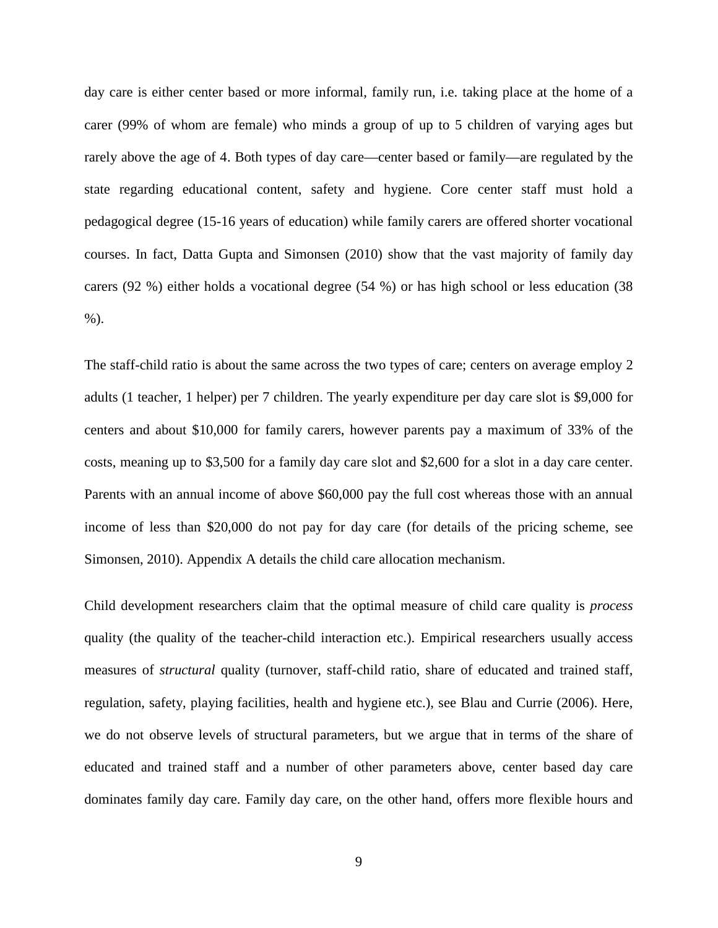day care is either center based or more informal, family run, i.e. taking place at the home of a carer (99% of whom are female) who minds a group of up to 5 children of varying ages but rarely above the age of 4. Both types of day care—center based or family—are regulated by the state regarding educational content, safety and hygiene. Core center staff must hold a pedagogical degree (15-16 years of education) while family carers are offered shorter vocational courses. In fact, Datta Gupta and Simonsen (2010) show that the vast majority of family day carers (92 %) either holds a vocational degree (54 %) or has high school or less education (38 %).

The staff-child ratio is about the same across the two types of care; centers on average employ 2 adults (1 teacher, 1 helper) per 7 children. The yearly expenditure per day care slot is \$9,000 for centers and about \$10,000 for family carers, however parents pay a maximum of 33% of the costs, meaning up to \$3,500 for a family day care slot and \$2,600 for a slot in a day care center. Parents with an annual income of above \$60,000 pay the full cost whereas those with an annual income of less than \$20,000 do not pay for day care (for details of the pricing scheme, see Simonsen, 2010). Appendix A details the child care allocation mechanism.

Child development researchers claim that the optimal measure of child care quality is *process* quality (the quality of the teacher-child interaction etc.). Empirical researchers usually access measures of *structural* quality (turnover, staff-child ratio, share of educated and trained staff, regulation, safety, playing facilities, health and hygiene etc.), see Blau and Currie (2006). Here, we do not observe levels of structural parameters, but we argue that in terms of the share of educated and trained staff and a number of other parameters above, center based day care dominates family day care. Family day care, on the other hand, offers more flexible hours and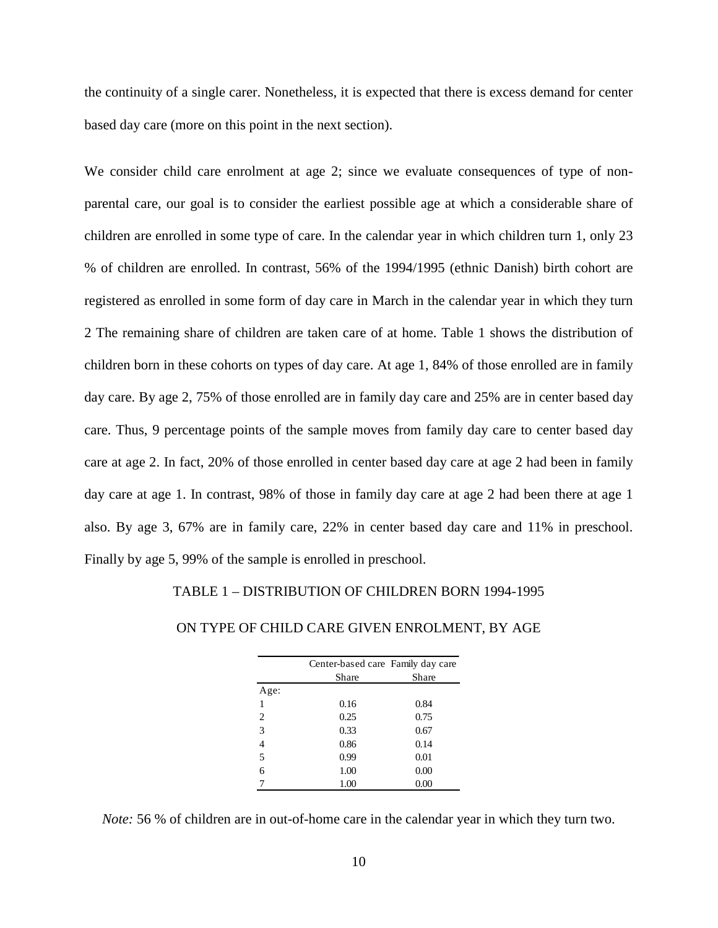the continuity of a single carer. Nonetheless, it is expected that there is excess demand for center based day care (more on this point in the next section).

We consider child care enrolment at age 2; since we evaluate consequences of type of nonparental care, our goal is to consider the earliest possible age at which a considerable share of children are enrolled in some type of care. In the calendar year in which children turn 1, only 23 % of children are enrolled. In contrast, 56% of the 1994/1995 (ethnic Danish) birth cohort are registered as enrolled in some form of day care in March in the calendar year in which they turn 2 The remaining share of children are taken care of at home. Table 1 shows the distribution of children born in these cohorts on types of day care. At age 1, 84% of those enrolled are in family day care. By age 2, 75% of those enrolled are in family day care and 25% are in center based day care. Thus, 9 percentage points of the sample moves from family day care to center based day care at age 2. In fact, 20% of those enrolled in center based day care at age 2 had been in family day care at age 1. In contrast, 98% of those in family day care at age 2 had been there at age 1 also. By age 3, 67% are in family care, 22% in center based day care and 11% in preschool. Finally by age 5, 99% of the sample is enrolled in preschool.

#### TABLE 1 – DISTRIBUTION OF CHILDREN BORN 1994-1995

|                | Center-based care Family day care |       |
|----------------|-----------------------------------|-------|
|                | Share                             | Share |
| Age:           |                                   |       |
| 1              | 0.16                              | 0.84  |
| 2              | 0.25                              | 0.75  |
| 3              | 0.33                              | 0.67  |
| $\overline{4}$ | 0.86                              | 0.14  |
| 5              | 0.99                              | 0.01  |
| 6              | 1.00                              | 0.00  |
|                | 1.00                              | 0.00  |

#### ON TYPE OF CHILD CARE GIVEN ENROLMENT, BY AGE

*Note:* 56 % of children are in out-of-home care in the calendar year in which they turn two.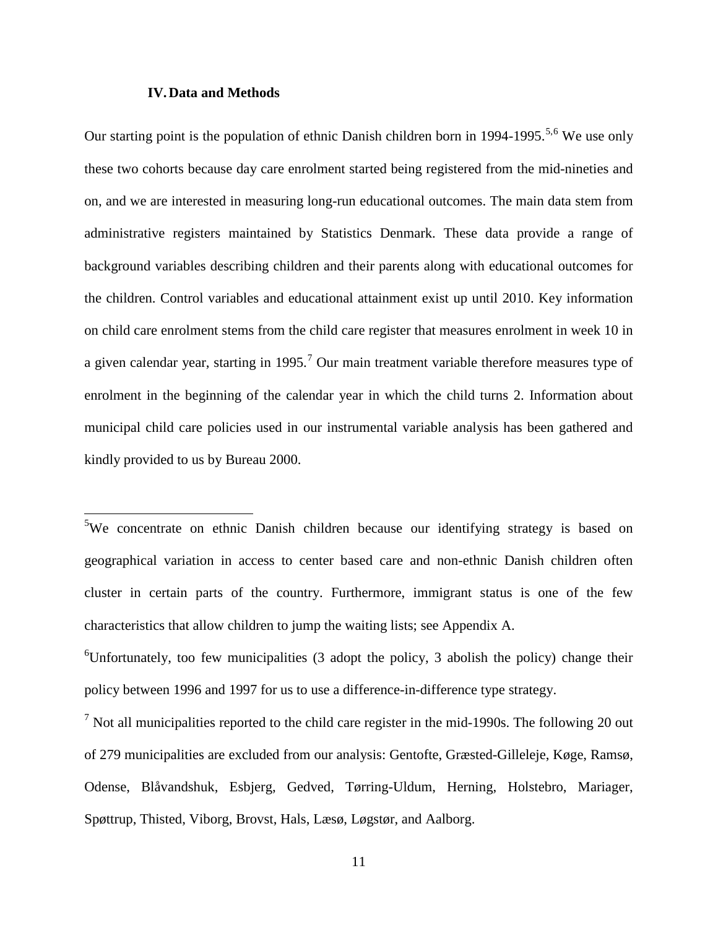#### **IV.Data and Methods**

 $\overline{\phantom{a}}$ 

Our starting point is the population of ethnic Danish children born in 1994-1995.<sup>[5,](#page-12-0)[6](#page-12-1)</sup> We use only these two cohorts because day care enrolment started being registered from the mid-nineties and on, and we are interested in measuring long-run educational outcomes. The main data stem from administrative registers maintained by Statistics Denmark. These data provide a range of background variables describing children and their parents along with educational outcomes for the children. Control variables and educational attainment exist up until 2010. Key information on child care enrolment stems from the child care register that measures enrolment in week 10 in a given calendar year, starting in 1995.<sup>[7](#page-12-2)</sup> Our main treatment variable therefore measures type of enrolment in the beginning of the calendar year in which the child turns 2. Information about municipal child care policies used in our instrumental variable analysis has been gathered and kindly provided to us by Bureau 2000.

<span id="page-12-0"></span><sup>&</sup>lt;sup>5</sup>We concentrate on ethnic Danish children because our identifying strategy is based on geographical variation in access to center based care and non-ethnic Danish children often cluster in certain parts of the country. Furthermore, immigrant status is one of the few characteristics that allow children to jump the waiting lists; see Appendix A.

<span id="page-12-1"></span> ${}^{6}$ Unfortunately, too few municipalities (3 adopt the policy, 3 abolish the policy) change their policy between 1996 and 1997 for us to use a difference-in-difference type strategy.

<span id="page-12-2"></span> $7$  Not all municipalities reported to the child care register in the mid-1990s. The following 20 out of 279 municipalities are excluded from our analysis: Gentofte, Græsted-Gilleleje, Køge, Ramsø, Odense, Blåvandshuk, Esbjerg, Gedved, Tørring-Uldum, Herning, Holstebro, Mariager, Spøttrup, Thisted, Viborg, Brovst, Hals, Læsø, Løgstør, and Aalborg.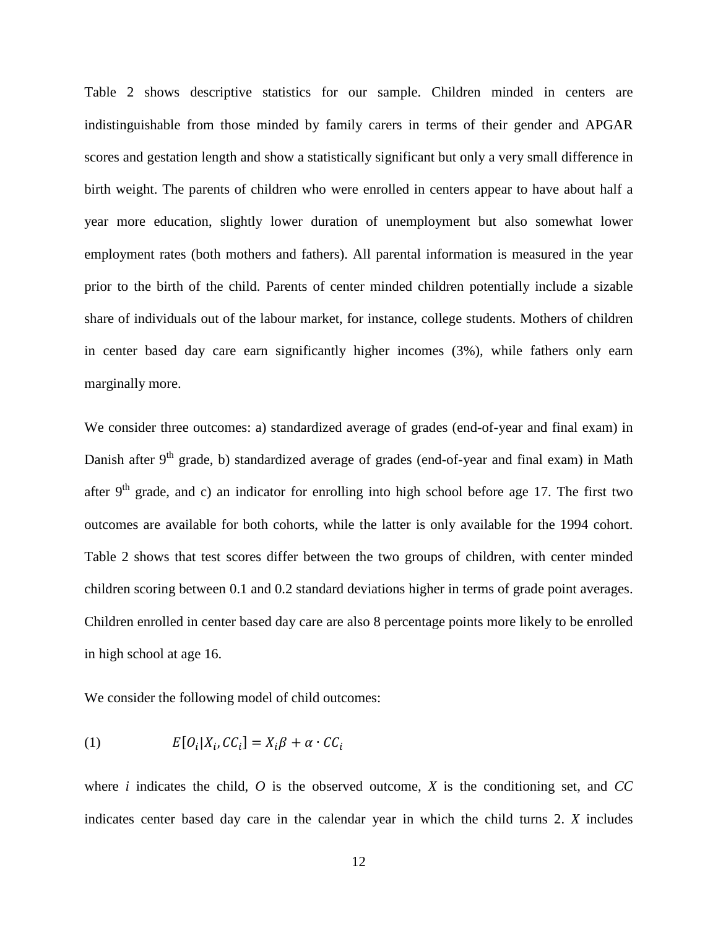Table 2 shows descriptive statistics for our sample. Children minded in centers are indistinguishable from those minded by family carers in terms of their gender and APGAR scores and gestation length and show a statistically significant but only a very small difference in birth weight. The parents of children who were enrolled in centers appear to have about half a year more education, slightly lower duration of unemployment but also somewhat lower employment rates (both mothers and fathers). All parental information is measured in the year prior to the birth of the child. Parents of center minded children potentially include a sizable share of individuals out of the labour market, for instance, college students. Mothers of children in center based day care earn significantly higher incomes (3%), while fathers only earn marginally more.

We consider three outcomes: a) standardized average of grades (end-of-year and final exam) in Danish after  $9<sup>th</sup>$  grade, b) standardized average of grades (end-of-year and final exam) in Math after  $9<sup>th</sup>$  grade, and c) an indicator for enrolling into high school before age 17. The first two outcomes are available for both cohorts, while the latter is only available for the 1994 cohort. Table 2 shows that test scores differ between the two groups of children, with center minded children scoring between 0.1 and 0.2 standard deviations higher in terms of grade point averages. Children enrolled in center based day care are also 8 percentage points more likely to be enrolled in high school at age 16.

We consider the following model of child outcomes:

$$
(1) \t E[O_i|X_i, CC_i] = X_i\beta + \alpha \cdot CC_i
$$

where *i* indicates the child,  $O$  is the observed outcome,  $X$  is the conditioning set, and  $CC$ indicates center based day care in the calendar year in which the child turns 2. *X* includes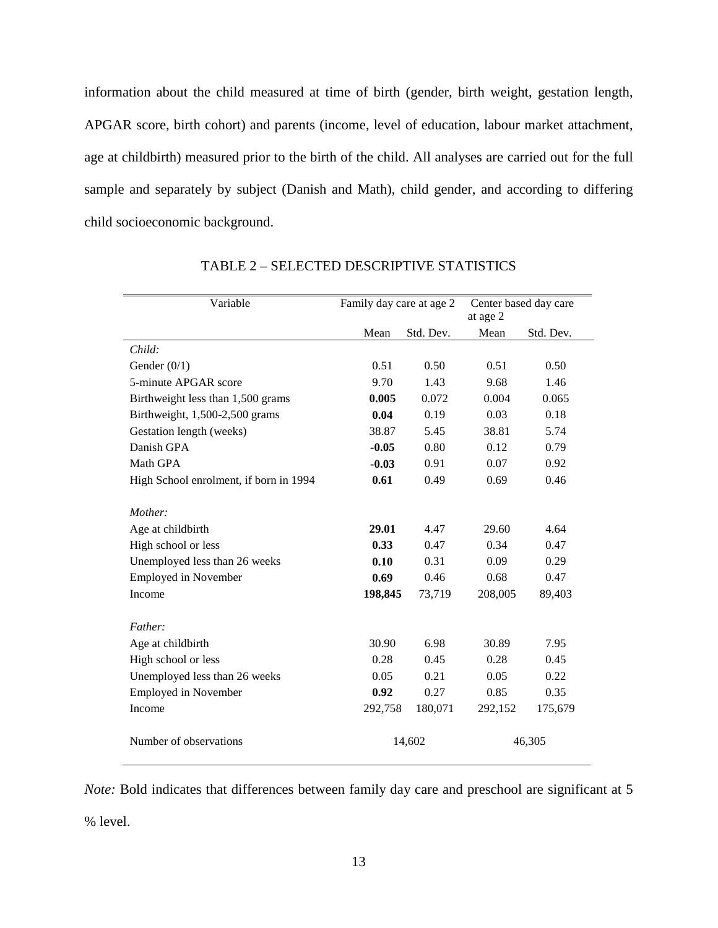information about the child measured at time of birth (gender, birth weight, gestation length, APGAR score, birth cohort) and parents (income, level of education, labour market attachment, age at childbirth) measured prior to the birth of the child. All analyses are carried out for the full sample and separately by subject (Danish and Math), child gender, and according to differing child socioeconomic background.

| Variable                               | Family day care at age 2 |           | at age 2 | Center based day care |
|----------------------------------------|--------------------------|-----------|----------|-----------------------|
|                                        | Mean                     | Std. Dev. | Mean     | Std. Dev.             |
| Child:                                 |                          |           |          |                       |
| Gender $(0/1)$                         | 0.51                     | 0.50      | 0.51     | 0.50                  |
| 5-minute APGAR score                   | 9.70                     | 1.43      | 9.68     | 1.46                  |
| Birthweight less than 1,500 grams      | 0.005                    | 0.072     | 0.004    | 0.065                 |
| Birthweight, 1,500-2,500 grams         | 0.04                     | 0.19      | 0.03     | 0.18                  |
| Gestation length (weeks)               | 38.87                    | 5.45      | 38.81    | 5.74                  |
| Danish GPA                             | $-0.05$                  | 0.80      | 0.12     | 0.79                  |
| Math GPA                               | $-0.03$                  | 0.91      | 0.07     | 0.92                  |
| High School enrolment, if born in 1994 | 0.61                     | 0.49      | 0.69     | 0.46                  |
| Mother:                                |                          |           |          |                       |
| Age at childbirth                      | 29.01                    | 4.47      | 29.60    | 4.64                  |
| High school or less                    | 0.33                     | 0.47      | 0.34     | 0.47                  |
| Unemployed less than 26 weeks          | 0.10                     | 0.31      | 0.09     | 0.29                  |
| Employed in November                   | 0.69                     | 0.46      | 0.68     | 0.47                  |
| Income                                 | 198,845                  | 73,719    | 208,005  | 89,403                |
| Father:                                |                          |           |          |                       |
| Age at childbirth                      | 30.90                    | 6.98      | 30.89    | 7.95                  |
| High school or less                    | 0.28                     | 0.45      | 0.28     | 0.45                  |
| Unemployed less than 26 weeks          | 0.05                     | 0.21      | 0.05     | 0.22                  |
| Employed in November                   | 0.92                     | 0.27      | 0.85     | 0.35                  |
| Income                                 | 292,758                  | 180,071   | 292,152  | 175,679               |
| Number of observations                 | 14,602                   |           | 46,305   |                       |

TABLE 2 – SELECTED DESCRIPTIVE STATISTICS

*Note:* Bold indicates that differences between family day care and preschool are significant at 5 % level.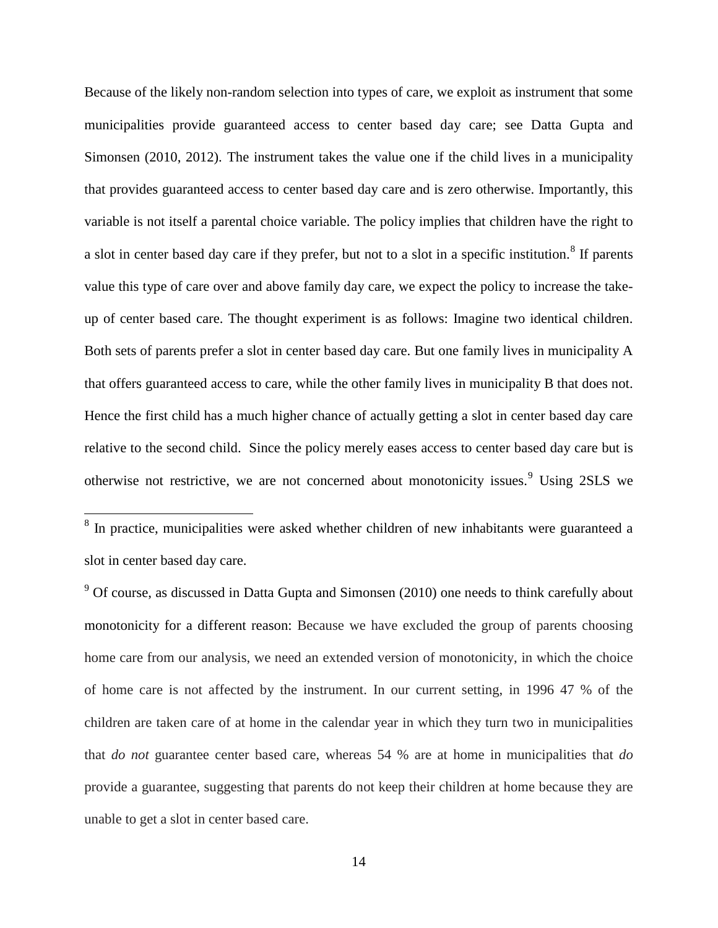Because of the likely non-random selection into types of care, we exploit as instrument that some municipalities provide guaranteed access to center based day care; see Datta Gupta and Simonsen (2010, 2012). The instrument takes the value one if the child lives in a municipality that provides guaranteed access to center based day care and is zero otherwise. Importantly, this variable is not itself a parental choice variable. The policy implies that children have the right to a slot in center based day care if they prefer, but not to a slot in a specific institution.<sup>[8](#page-15-0)</sup> If parents value this type of care over and above family day care, we expect the policy to increase the takeup of center based care. The thought experiment is as follows: Imagine two identical children. Both sets of parents prefer a slot in center based day care. But one family lives in municipality A that offers guaranteed access to care, while the other family lives in municipality B that does not. Hence the first child has a much higher chance of actually getting a slot in center based day care relative to the second child. Since the policy merely eases access to center based day care but is otherwise not restrictive, we are not concerned about monotonicity issues.<sup>[9](#page-15-1)</sup> Using 2SLS we

<span id="page-15-0"></span> $8$  In practice, municipalities were asked whether children of new inhabitants were guaranteed a slot in center based day care.

<span id="page-15-1"></span> $9$  Of course, as discussed in Datta Gupta and Simonsen (2010) one needs to think carefully about monotonicity for a different reason: Because we have excluded the group of parents choosing home care from our analysis, we need an extended version of monotonicity, in which the choice of home care is not affected by the instrument. In our current setting, in 1996 47 % of the children are taken care of at home in the calendar year in which they turn two in municipalities that *do not* guarantee center based care, whereas 54 % are at home in municipalities that *do*  provide a guarantee, suggesting that parents do not keep their children at home because they are unable to get a slot in center based care.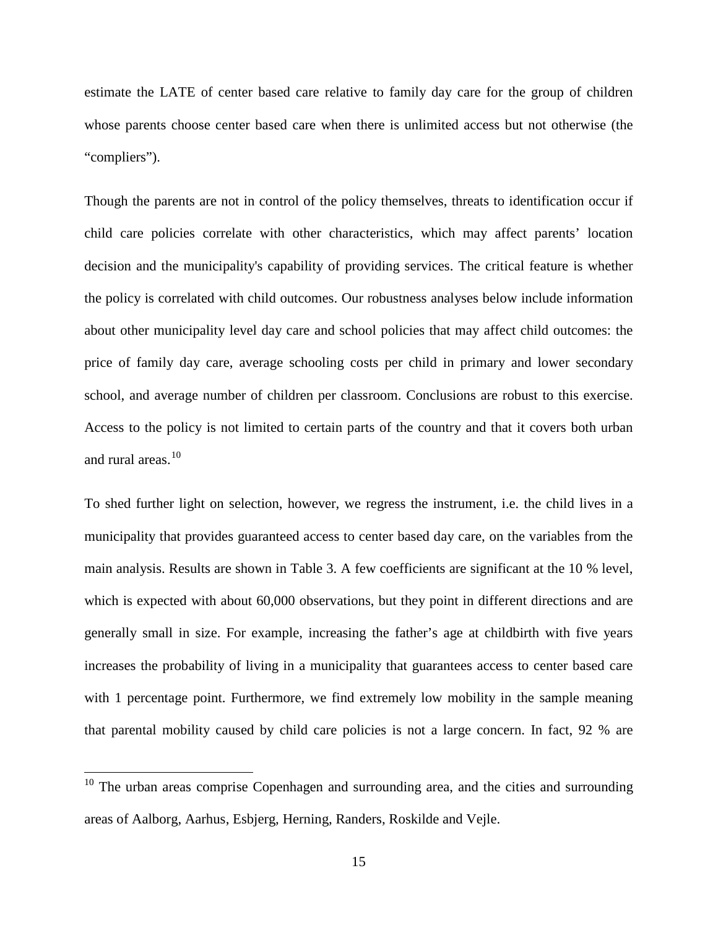estimate the LATE of center based care relative to family day care for the group of children whose parents choose center based care when there is unlimited access but not otherwise (the "compliers").

Though the parents are not in control of the policy themselves, threats to identification occur if child care policies correlate with other characteristics, which may affect parents' location decision and the municipality's capability of providing services. The critical feature is whether the policy is correlated with child outcomes. Our robustness analyses below include information about other municipality level day care and school policies that may affect child outcomes: the price of family day care, average schooling costs per child in primary and lower secondary school, and average number of children per classroom. Conclusions are robust to this exercise. Access to the policy is not limited to certain parts of the country and that it covers both urban and rural areas.<sup>[10](#page-16-0)</sup>

To shed further light on selection, however, we regress the instrument, i.e. the child lives in a municipality that provides guaranteed access to center based day care, on the variables from the main analysis. Results are shown in Table 3. A few coefficients are significant at the 10 % level, which is expected with about 60,000 observations, but they point in different directions and are generally small in size. For example, increasing the father's age at childbirth with five years increases the probability of living in a municipality that guarantees access to center based care with 1 percentage point. Furthermore, we find extremely low mobility in the sample meaning that parental mobility caused by child care policies is not a large concern. In fact, 92 % are

<span id="page-16-0"></span> $10$  The urban areas comprise Copenhagen and surrounding area, and the cities and surrounding areas of Aalborg, Aarhus, Esbjerg, Herning, Randers, Roskilde and Vejle.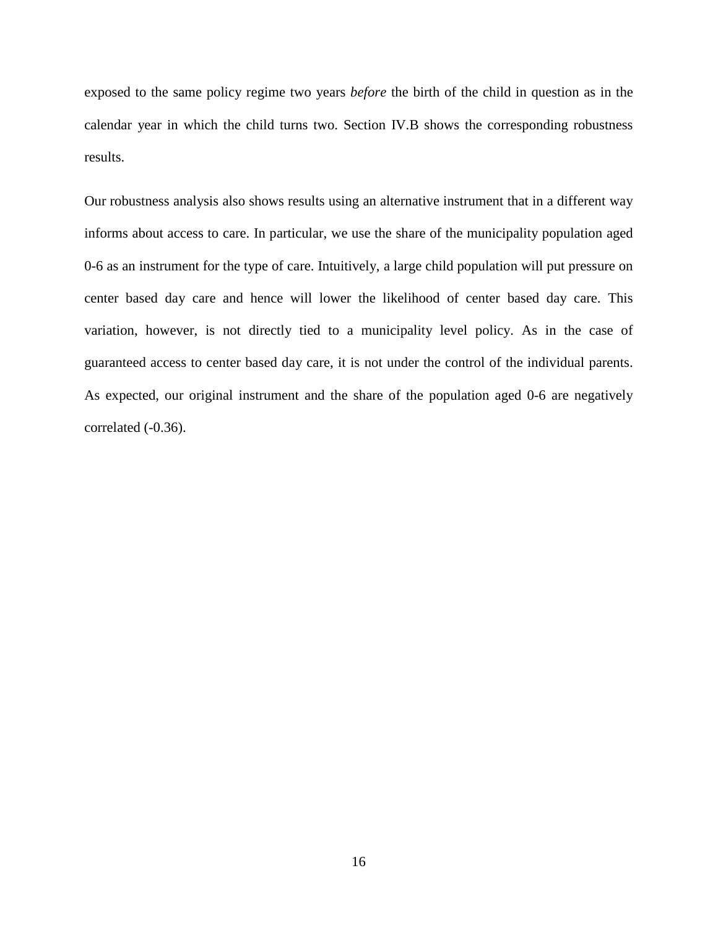exposed to the same policy regime two years *before* the birth of the child in question as in the calendar year in which the child turns two. Section IV.B shows the corresponding robustness results.

Our robustness analysis also shows results using an alternative instrument that in a different way informs about access to care. In particular, we use the share of the municipality population aged 0-6 as an instrument for the type of care. Intuitively, a large child population will put pressure on center based day care and hence will lower the likelihood of center based day care. This variation, however, is not directly tied to a municipality level policy. As in the case of guaranteed access to center based day care, it is not under the control of the individual parents. As expected, our original instrument and the share of the population aged 0-6 are negatively correlated (-0.36).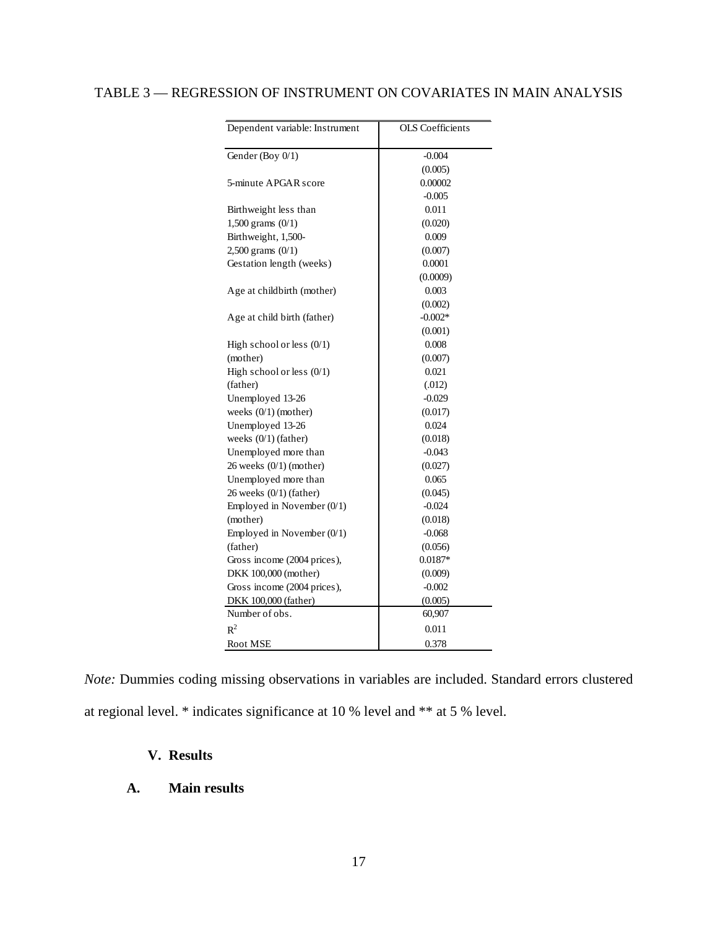# TABLE 3 — REGRESSION OF INSTRUMENT ON COVARIATES IN MAIN ANALYSIS

| Dependent variable: Instrument | <b>OLS</b> Coefficients |
|--------------------------------|-------------------------|
| Gender (Boy 0/1)               | $-0.004$                |
|                                | (0.005)                 |
| 5-minute APGAR score           | 0.00002                 |
|                                | $-0.005$                |
| Birthweight less than          | 0.011                   |
| 1,500 grams $(0/1)$            | (0.020)                 |
| Birthweight, 1,500-            | 0.009                   |
| 2,500 grams $(0/1)$            | (0.007)                 |
| Gestation length (weeks)       | 0.0001                  |
|                                | (0.0009)                |
| Age at childbirth (mother)     | 0.003                   |
|                                | (0.002)                 |
| Age at child birth (father)    | $-0.002*$               |
|                                | (0.001)                 |
| High school or less $(0/1)$    | 0.008                   |
| (mother)                       | (0.007)                 |
| High school or less $(0/1)$    | 0.021                   |
| (father)                       | (.012)                  |
| Unemployed 13-26               | $-0.029$                |
| weeks (0/1) (mother)           | (0.017)                 |
| Unemployed 13-26               | 0.024                   |
| weeks $(0/1)$ (father)         | (0.018)                 |
| Unemployed more than           | $-0.043$                |
| $26$ weeks $(0/1)$ (mother)    | (0.027)                 |
| Unemployed more than           | 0.065                   |
| 26 weeks $(0/1)$ (father)      | (0.045)                 |
| Employed in November $(0/1)$   | $-0.024$                |
| (mother)                       | (0.018)                 |
| Employed in November $(0/1)$   | $-0.068$                |
| (father)                       | (0.056)                 |
| Gross income (2004 prices),    | $0.0187*$               |
| DKK 100,000 (mother)           | (0.009)                 |
| Gross income (2004 prices),    | $-0.002$                |
| DKK 100,000 (father)           | (0.005)                 |
| Number of obs.                 | 60,907                  |
| $R^2$                          | 0.011                   |
| <b>Root MSE</b>                | 0.378                   |

*Note:* Dummies coding missing observations in variables are included. Standard errors clustered at regional level. \* indicates significance at 10 % level and \*\* at 5 % level.

### **V. Results**

### **A. Main results**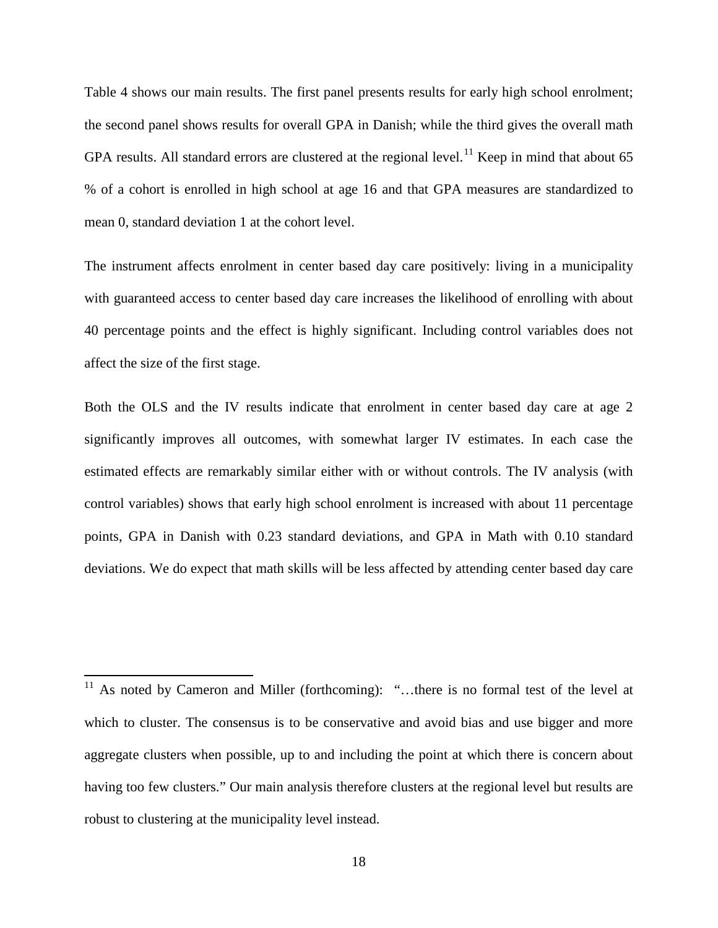Table 4 shows our main results. The first panel presents results for early high school enrolment; the second panel shows results for overall GPA in Danish; while the third gives the overall math GPA results. All standard errors are clustered at the regional level.<sup>[11](#page-19-0)</sup> Keep in mind that about 65 % of a cohort is enrolled in high school at age 16 and that GPA measures are standardized to mean 0, standard deviation 1 at the cohort level.

The instrument affects enrolment in center based day care positively: living in a municipality with guaranteed access to center based day care increases the likelihood of enrolling with about 40 percentage points and the effect is highly significant. Including control variables does not affect the size of the first stage.

Both the OLS and the IV results indicate that enrolment in center based day care at age 2 significantly improves all outcomes, with somewhat larger IV estimates. In each case the estimated effects are remarkably similar either with or without controls. The IV analysis (with control variables) shows that early high school enrolment is increased with about 11 percentage points, GPA in Danish with 0.23 standard deviations, and GPA in Math with 0.10 standard deviations. We do expect that math skills will be less affected by attending center based day care

<span id="page-19-0"></span><sup>&</sup>lt;sup>11</sup> As noted by Cameron and Miller (forthcoming): "...there is no formal test of the level at which to cluster. The consensus is to be conservative and avoid bias and use bigger and more aggregate clusters when possible, up to and including the point at which there is concern about having too few clusters." Our main analysis therefore clusters at the regional level but results are robust to clustering at the municipality level instead.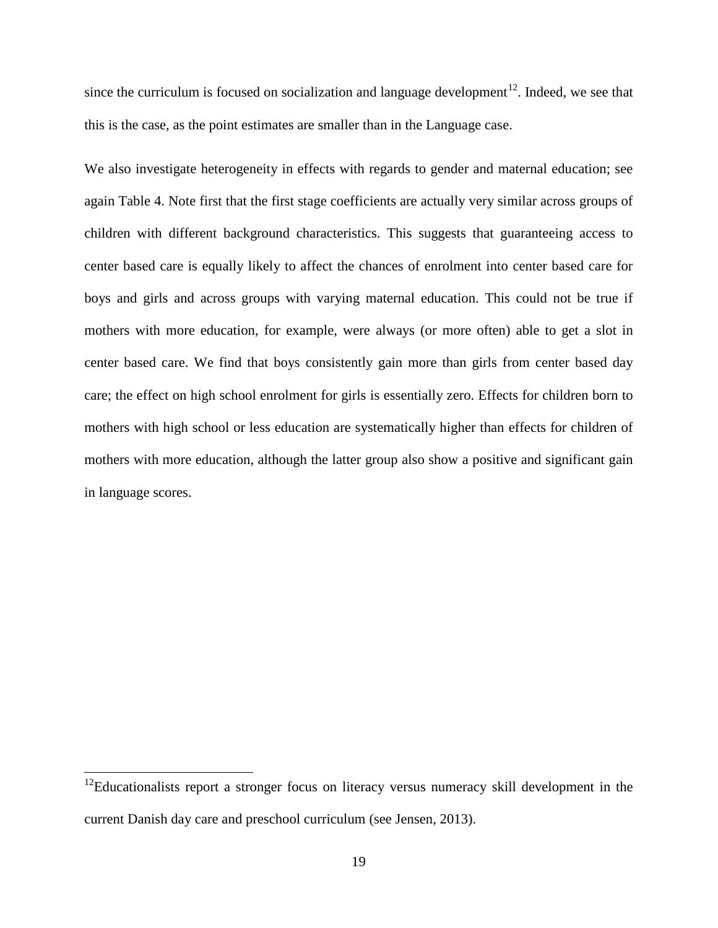since the curriculum is focused on socialization and language development<sup>12</sup>. Indeed, we see that this is the case, as the point estimates are smaller than in the Language case.

We also investigate heterogeneity in effects with regards to gender and maternal education; see again Table 4. Note first that the first stage coefficients are actually very similar across groups of children with different background characteristics. This suggests that guaranteeing access to center based care is equally likely to affect the chances of enrolment into center based care for boys and girls and across groups with varying maternal education. This could not be true if mothers with more education, for example, were always (or more often) able to get a slot in center based care. We find that boys consistently gain more than girls from center based day care; the effect on high school enrolment for girls is essentially zero. Effects for children born to mothers with high school or less education are systematically higher than effects for children of mothers with more education, although the latter group also show a positive and significant gain in language scores.

<span id="page-20-0"></span> $12$ Educationalists report a stronger focus on literacy versus numeracy skill development in the current Danish day care and preschool curriculum (see Jensen, 2013).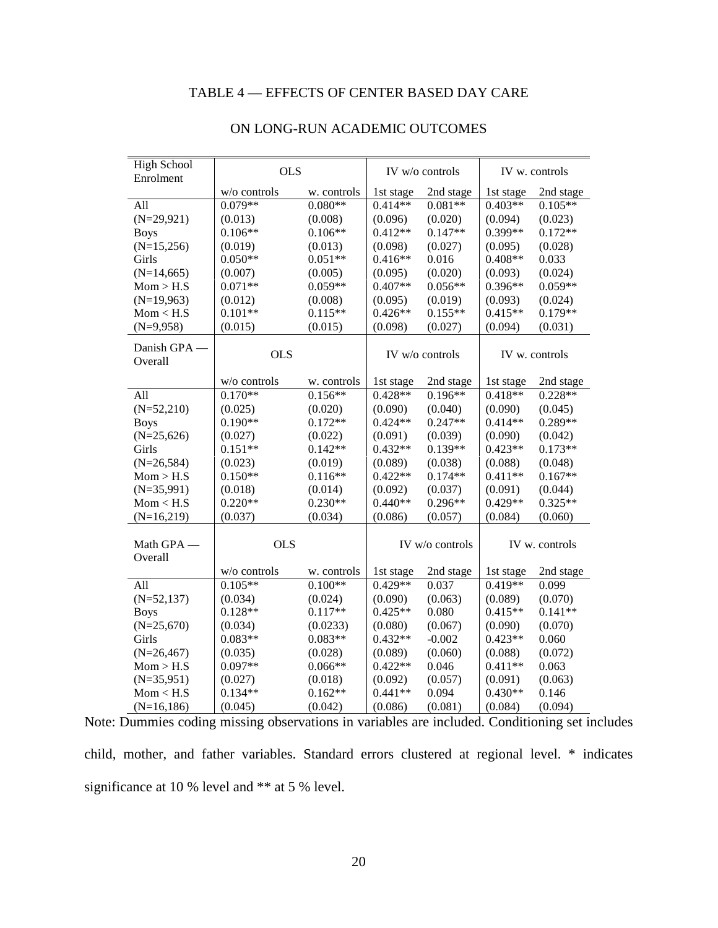## TABLE 4 — EFFECTS OF CENTER BASED DAY CARE

| <b>High School</b><br>Enrolment | <b>OLS</b>   |             | IV w/o controls |                 | IV w. controls |                |
|---------------------------------|--------------|-------------|-----------------|-----------------|----------------|----------------|
|                                 | w/o controls | w. controls | 1st stage       | 2nd stage       | 1st stage      | 2nd stage      |
| All                             | $0.079**$    | $0.080**$   | $0.414**$       | $0.081**$       | $0.403**$      | $0.105**$      |
| $(N=29,921)$                    | (0.013)      | (0.008)     | (0.096)         | (0.020)         | (0.094)        | (0.023)        |
| <b>Boys</b>                     | $0.106**$    | $0.106**$   | $0.412**$       | $0.147**$       | 0.399**        | $0.172**$      |
| $(N=15,256)$                    | (0.019)      | (0.013)     | (0.098)         | (0.027)         | (0.095)        | (0.028)        |
| Girls                           | $0.050**$    | $0.051**$   | $0.416**$       | 0.016           | $0.408**$      | 0.033          |
| $(N=14,665)$                    | (0.007)      | (0.005)     | (0.095)         | (0.020)         | (0.093)        | (0.024)        |
| Mom > H.S                       | $0.071**$    | $0.059**$   | $0.407**$       | $0.056**$       | $0.396**$      | $0.059**$      |
| $(N=19,963)$                    | (0.012)      | (0.008)     | (0.095)         | (0.019)         | (0.093)        | (0.024)        |
| Mom < H.S                       | $0.101**$    | $0.115**$   | $0.426**$       | $0.155**$       | $0.415**$      | $0.179**$      |
| $(N=9,958)$                     | (0.015)      | (0.015)     | (0.098)         | (0.027)         | (0.094)        | (0.031)        |
| Danish GPA -<br>Overall         | <b>OLS</b>   |             |                 | IV w/o controls |                | IV w. controls |
|                                 | w/o controls | w. controls | 1st stage       | 2nd stage       | 1st stage      | 2nd stage      |
| All                             | $0.170**$    | $0.156**$   | $0.428**$       | $0.196**$       | $0.418**$      | $0.228**$      |
| $(N=52,210)$                    | (0.025)      | (0.020)     | (0.090)         | (0.040)         | (0.090)        | (0.045)        |
| <b>Boys</b>                     | $0.190**$    | $0.172**$   | $0.424**$       | $0.247**$       | $0.414**$      | $0.289**$      |
| $(N=25,626)$                    | (0.027)      | (0.022)     | (0.091)         | (0.039)         | (0.090)        | (0.042)        |
| Girls                           | $0.151**$    | $0.142**$   | $0.432**$       | $0.139**$       | $0.423**$      | $0.173**$      |
| $(N=26,584)$                    | (0.023)      | (0.019)     | (0.089)         | (0.038)         | (0.088)        | (0.048)        |
| Mom > H.S                       | $0.150**$    | $0.116**$   | $0.422**$       | $0.174**$       | $0.411**$      | $0.167**$      |
| $(N=35,991)$                    | (0.018)      | (0.014)     | (0.092)         | (0.037)         | (0.091)        | (0.044)        |
| Mom < H.S                       | $0.220**$    | $0.230**$   | $0.440**$       | $0.296**$       | $0.429**$      | $0.325**$      |
| $(N=16,219)$                    | (0.037)      | (0.034)     | (0.086)         | (0.057)         | (0.084)        | (0.060)        |
| Math GPA -<br>Overall           | <b>OLS</b>   |             |                 | IV w/o controls |                | IV w. controls |
|                                 | w/o controls | w. controls | 1st stage       | 2nd stage       | 1st stage      | 2nd stage      |
| All                             | $0.105**$    | $0.100**$   | $0.429**$       | 0.037           | $0.419**$      | 0.099          |
| $(N=52,137)$                    | (0.034)      | (0.024)     | (0.090)         | (0.063)         | (0.089)        | (0.070)        |
| <b>Boys</b>                     | $0.128**$    | $0.117**$   | $0.425**$       | 0.080           | $0.415**$      | $0.141**$      |
| $(N=25,670)$                    | (0.034)      | (0.0233)    | (0.080)         | (0.067)         | (0.090)        | (0.070)        |
| Girls                           | $0.083**$    | $0.083**$   | $0.432**$       | $-0.002$        | $0.423**$      | 0.060          |
| $(N=26,467)$                    | (0.035)      | (0.028)     | (0.089)         | (0.060)         | (0.088)        | (0.072)        |
| Mom > H.S                       | $0.097**$    | $0.066**$   | $0.422**$       | 0.046           | $0.411**$      | 0.063          |
| $(N=35,951)$                    | (0.027)      | (0.018)     | (0.092)         | (0.057)         | (0.091)        | (0.063)        |
| Mom < H.S                       | $0.134**$    | $0.162**$   | $0.441**$       | 0.094           | $0.430**$      | 0.146          |
| $(N=16,186)$                    | (0.045)      | (0.042)     | (0.086)         | (0.081)         | (0.084)        | (0.094)        |

#### ON LONG-RUN ACADEMIC OUTCOMES

Note: Dummies coding missing observations in variables are included. Conditioning set includes child, mother, and father variables. Standard errors clustered at regional level. \* indicates significance at 10 % level and \*\* at 5 % level.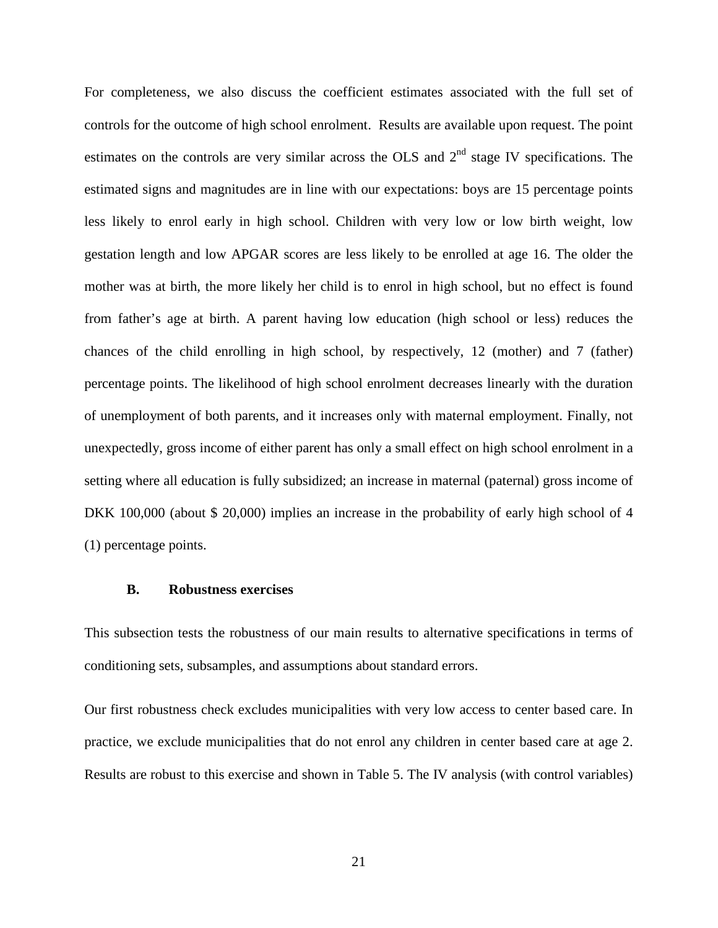For completeness, we also discuss the coefficient estimates associated with the full set of controls for the outcome of high school enrolment. Results are available upon request. The point estimates on the controls are very similar across the OLS and  $2<sup>nd</sup>$  stage IV specifications. The estimated signs and magnitudes are in line with our expectations: boys are 15 percentage points less likely to enrol early in high school. Children with very low or low birth weight, low gestation length and low APGAR scores are less likely to be enrolled at age 16. The older the mother was at birth, the more likely her child is to enrol in high school, but no effect is found from father's age at birth. A parent having low education (high school or less) reduces the chances of the child enrolling in high school, by respectively, 12 (mother) and 7 (father) percentage points. The likelihood of high school enrolment decreases linearly with the duration of unemployment of both parents, and it increases only with maternal employment. Finally, not unexpectedly, gross income of either parent has only a small effect on high school enrolment in a setting where all education is fully subsidized; an increase in maternal (paternal) gross income of DKK 100,000 (about \$ 20,000) implies an increase in the probability of early high school of 4 (1) percentage points.

#### **B. Robustness exercises**

This subsection tests the robustness of our main results to alternative specifications in terms of conditioning sets, subsamples, and assumptions about standard errors.

Our first robustness check excludes municipalities with very low access to center based care. In practice, we exclude municipalities that do not enrol any children in center based care at age 2. Results are robust to this exercise and shown in Table 5. The IV analysis (with control variables)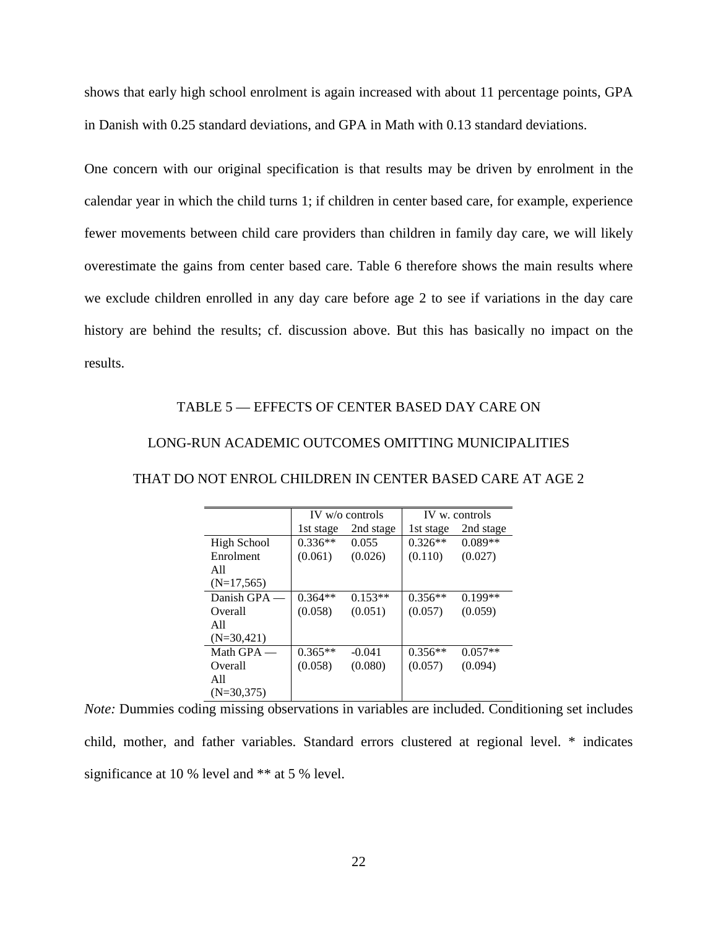shows that early high school enrolment is again increased with about 11 percentage points, GPA in Danish with 0.25 standard deviations, and GPA in Math with 0.13 standard deviations.

One concern with our original specification is that results may be driven by enrolment in the calendar year in which the child turns 1; if children in center based care, for example, experience fewer movements between child care providers than children in family day care, we will likely overestimate the gains from center based care. Table 6 therefore shows the main results where we exclude children enrolled in any day care before age 2 to see if variations in the day care history are behind the results; cf. discussion above. But this has basically no impact on the results.

#### TABLE 5 — EFFECTS OF CENTER BASED DAY CARE ON

#### LONG-RUN ACADEMIC OUTCOMES OMITTING MUNICIPALITIES

|               |           | $IV$ w/o controls |           | IV w. controls |
|---------------|-----------|-------------------|-----------|----------------|
|               | 1st stage | 2nd stage         | 1st stage | 2nd stage      |
| High School   | $0.336**$ | 0.055             | $0.326**$ | $0.089**$      |
| Enrolment     | (0.061)   | (0.026)           | (0.110)   | (0.027)        |
| A11           |           |                   |           |                |
| $(N=17, 565)$ |           |                   |           |                |
| Danish GPA —  | $0.364**$ | $0.153**$         | $0.356**$ | $0.199**$      |
| Overall       | (0.058)   | (0.051)           | (0.057)   | (0.059)        |
| A11           |           |                   |           |                |
| $(N=30,421)$  |           |                   |           |                |
| Math $GPA$ —  | $0.365**$ | $-0.041$          | $0.356**$ | $0.057**$      |
| Overall       | (0.058)   | (0.080)           | (0.057)   | (0.094)        |
| A11           |           |                   |           |                |
| $(N=30,375)$  |           |                   |           |                |

#### THAT DO NOT ENROL CHILDREN IN CENTER BASED CARE AT AGE 2

*Note:* Dummies coding missing observations in variables are included. Conditioning set includes child, mother, and father variables. Standard errors clustered at regional level. \* indicates significance at 10 % level and \*\* at 5 % level.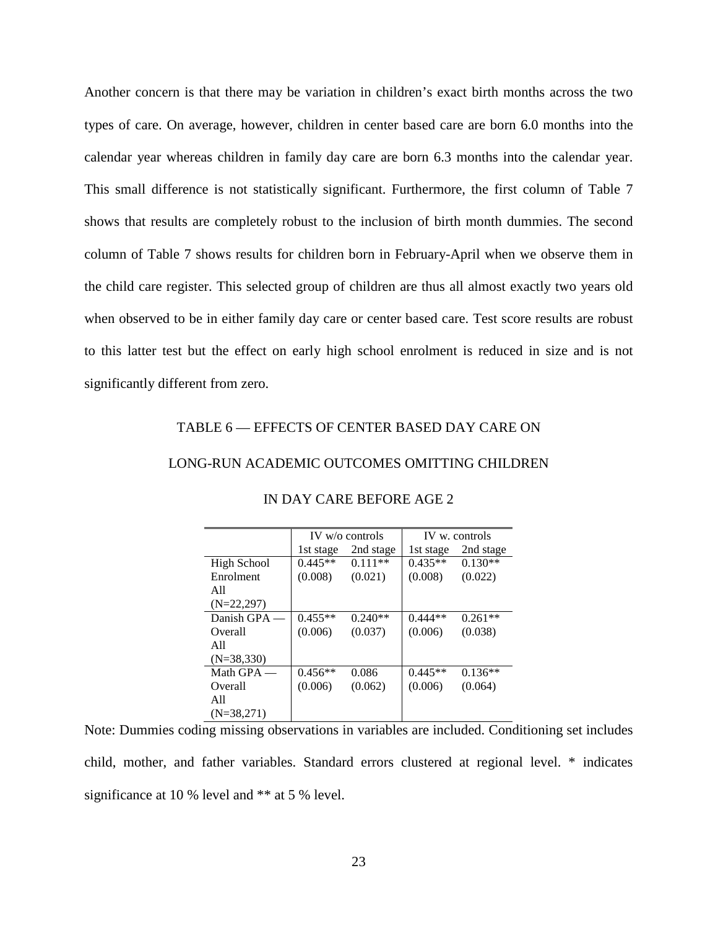Another concern is that there may be variation in children's exact birth months across the two types of care. On average, however, children in center based care are born 6.0 months into the calendar year whereas children in family day care are born 6.3 months into the calendar year. This small difference is not statistically significant. Furthermore, the first column of Table 7 shows that results are completely robust to the inclusion of birth month dummies. The second column of Table 7 shows results for children born in February-April when we observe them in the child care register. This selected group of children are thus all almost exactly two years old when observed to be in either family day care or center based care. Test score results are robust to this latter test but the effect on early high school enrolment is reduced in size and is not significantly different from zero.

#### TABLE 6 — EFFECTS OF CENTER BASED DAY CARE ON

### LONG-RUN ACADEMIC OUTCOMES OMITTING CHILDREN

|              |           | $IV$ w/o controls | IV w. controls |           |
|--------------|-----------|-------------------|----------------|-----------|
|              | 1st stage | 2nd stage         | 1st stage      | 2nd stage |
| High School  | $0.445**$ | $0.111**$         | $0.435**$      | $0.130**$ |
| Enrolment    | (0.008)   | (0.021)           | (0.008)        | (0.022)   |
| A11          |           |                   |                |           |
| $(N=22,297)$ |           |                   |                |           |
| Danish GPA - | $0.455**$ | $0.240**$         | $0.444**$      | $0.261**$ |
| Overall      | (0.006)   | (0.037)           | (0.006)        | (0.038)   |
| A11          |           |                   |                |           |
| $(N=38,330)$ |           |                   |                |           |
| Math $GPA$ — | $0.456**$ | 0.086             | $0.445**$      | $0.136**$ |
| Overall      | (0.006)   | (0.062)           | (0.006)        | (0.064)   |
| A11          |           |                   |                |           |
| $(N=38,271)$ |           |                   |                |           |

#### IN DAY CARE BEFORE AGE 2

Note: Dummies coding missing observations in variables are included. Conditioning set includes child, mother, and father variables. Standard errors clustered at regional level. \* indicates significance at 10 % level and \*\* at 5 % level.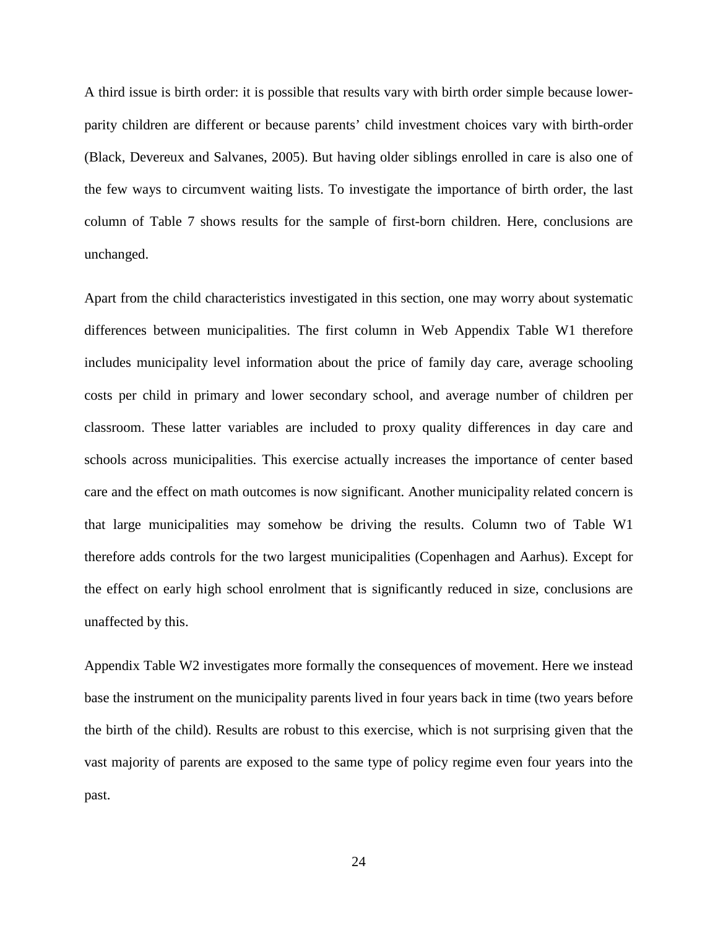A third issue is birth order: it is possible that results vary with birth order simple because lowerparity children are different or because parents' child investment choices vary with birth-order (Black, Devereux and Salvanes, 2005). But having older siblings enrolled in care is also one of the few ways to circumvent waiting lists. To investigate the importance of birth order, the last column of Table 7 shows results for the sample of first-born children. Here, conclusions are unchanged.

Apart from the child characteristics investigated in this section, one may worry about systematic differences between municipalities. The first column in Web Appendix Table W1 therefore includes municipality level information about the price of family day care, average schooling costs per child in primary and lower secondary school, and average number of children per classroom. These latter variables are included to proxy quality differences in day care and schools across municipalities. This exercise actually increases the importance of center based care and the effect on math outcomes is now significant. Another municipality related concern is that large municipalities may somehow be driving the results. Column two of Table W1 therefore adds controls for the two largest municipalities (Copenhagen and Aarhus). Except for the effect on early high school enrolment that is significantly reduced in size, conclusions are unaffected by this.

Appendix Table W2 investigates more formally the consequences of movement. Here we instead base the instrument on the municipality parents lived in four years back in time (two years before the birth of the child). Results are robust to this exercise, which is not surprising given that the vast majority of parents are exposed to the same type of policy regime even four years into the past.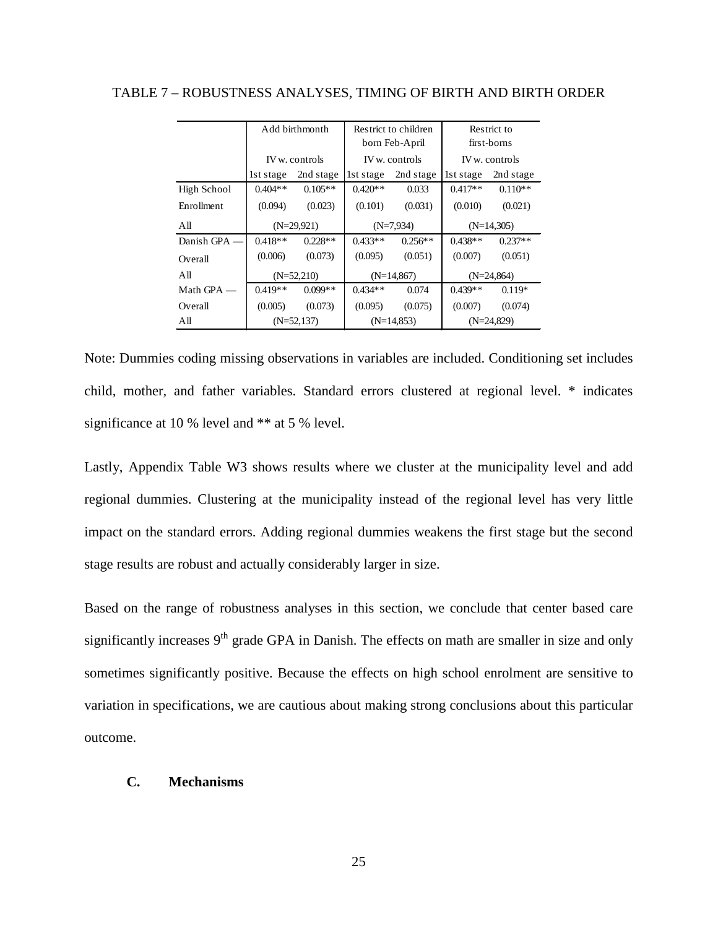|              |              | Add birthmonth | Restrict to children<br>born Feb-April |                |              | Restrict to<br>first-borns |  |
|--------------|--------------|----------------|----------------------------------------|----------------|--------------|----------------------------|--|
|              |              | IV w. controls |                                        | IV w. controls |              | IV w. controls             |  |
|              | 1st stage    | 2nd stage      | lst stage                              | 2nd stage      | lst stage    | 2nd stage                  |  |
| High School  | $0.404**$    | $0.105**$      | $0.420**$                              | 0.033          | $0.417**$    | $0.110**$                  |  |
| Enrollment   | (0.094)      | (0.023)        | (0.101)                                | (0.031)        | (0.010)      | (0.021)                    |  |
| All          | $(N=29,921)$ |                | $(N=7,934)$                            |                | $(N=14,305)$ |                            |  |
| Danish GPA - | $0.418**$    | $0.228**$      | $0.433**$                              | $0.256**$      | $0.438**$    | $0.237**$                  |  |
| Overall      | (0.006)      | (0.073)        | (0.095)                                | (0.051)        | (0.007)      | (0.051)                    |  |
| All          |              | $(N=52,210)$   | $(N=14,867)$<br>$(N=24,864)$           |                |              |                            |  |
| Math GPA -   | $0.419**$    | $0.099**$      | $0.434**$                              | 0.074          | $0.439**$    | $0.119*$                   |  |
| Overall      | (0.005)      | (0.073)        | (0.095)                                | (0.075)        | (0.007)      | (0.074)                    |  |
| All          |              | $(N=52,137)$   |                                        | $(N=14, 853)$  |              | $(N=24,829)$               |  |

TABLE 7 – ROBUSTNESS ANALYSES, TIMING OF BIRTH AND BIRTH ORDER

Note: Dummies coding missing observations in variables are included. Conditioning set includes child, mother, and father variables. Standard errors clustered at regional level. \* indicates significance at 10 % level and \*\* at 5 % level.

Lastly, Appendix Table W3 shows results where we cluster at the municipality level and add regional dummies. Clustering at the municipality instead of the regional level has very little impact on the standard errors. Adding regional dummies weakens the first stage but the second stage results are robust and actually considerably larger in size.

Based on the range of robustness analyses in this section, we conclude that center based care significantly increases  $9<sup>th</sup>$  grade GPA in Danish. The effects on math are smaller in size and only sometimes significantly positive. Because the effects on high school enrolment are sensitive to variation in specifications, we are cautious about making strong conclusions about this particular outcome.

#### **C. Mechanisms**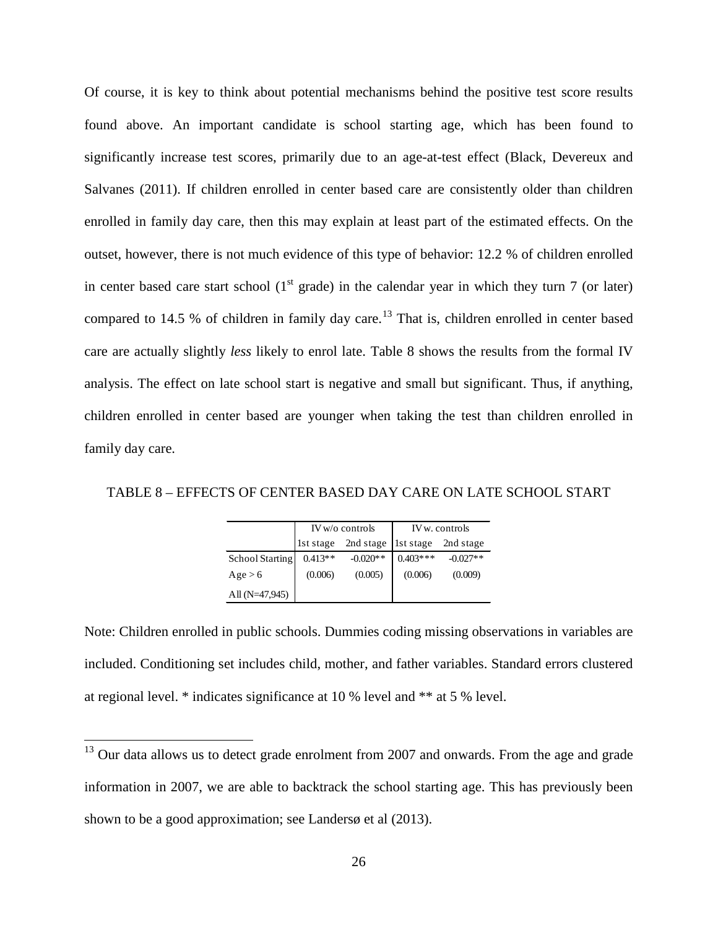Of course, it is key to think about potential mechanisms behind the positive test score results found above. An important candidate is school starting age, which has been found to significantly increase test scores, primarily due to an age-at-test effect (Black, Devereux and Salvanes (2011). If children enrolled in center based care are consistently older than children enrolled in family day care, then this may explain at least part of the estimated effects. On the outset, however, there is not much evidence of this type of behavior: 12.2 % of children enrolled in center based care start school  $(1<sup>st</sup> grade)$  in the calendar year in which they turn 7 (or later) compared to 14.5 % of children in family day care.<sup>[13](#page-27-0)</sup> That is, children enrolled in center based care are actually slightly *less* likely to enrol late. Table 8 shows the results from the formal IV analysis. The effect on late school start is negative and small but significant. Thus, if anything, children enrolled in center based are younger when taking the test than children enrolled in family day care.

TABLE 8 – EFFECTS OF CENTER BASED DAY CARE ON LATE SCHOOL START

|                  |           | $IV$ w/o controls | IV w. controls |            |  |
|------------------|-----------|-------------------|----------------|------------|--|
|                  | 1st stage | 2nd stage         | 1st stage      | 2nd stage  |  |
| School Starting  | $0.413**$ | $-0.020**$        | $0.403***$     | $-0.027**$ |  |
| Age > 6          | (0.006)   | (0.005)           | (0.006)        | (0.009)    |  |
| All $(N=47,945)$ |           |                   |                |            |  |

Note: Children enrolled in public schools. Dummies coding missing observations in variables are included. Conditioning set includes child, mother, and father variables. Standard errors clustered at regional level. \* indicates significance at 10 % level and \*\* at 5 % level.

<span id="page-27-0"></span> $13$  Our data allows us to detect grade enrolment from 2007 and onwards. From the age and grade information in 2007, we are able to backtrack the school starting age. This has previously been shown to be a good approximation; see Landersø et al (2013).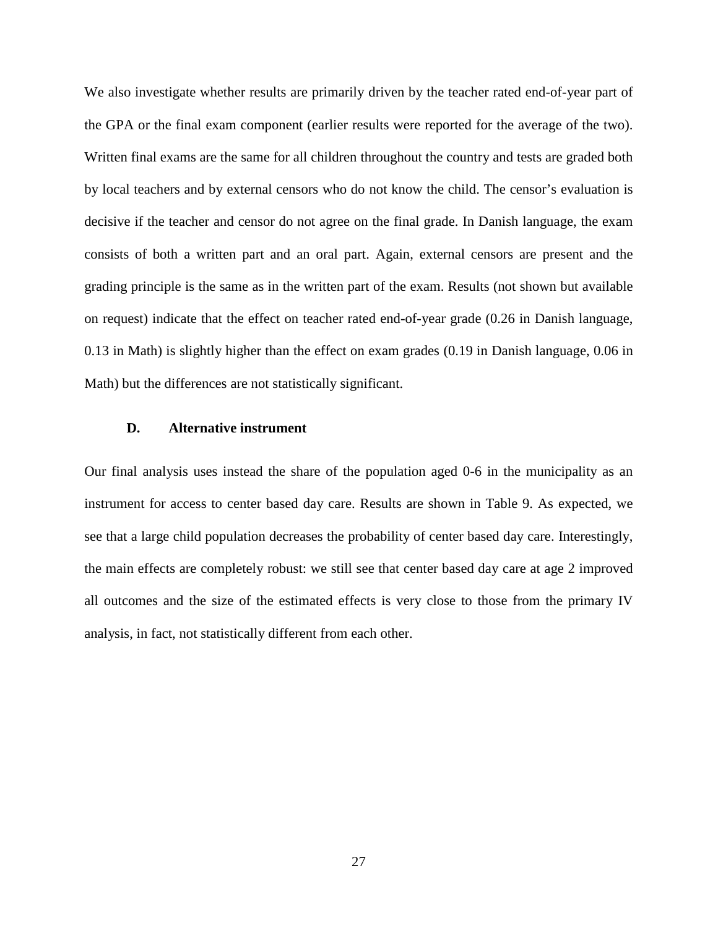We also investigate whether results are primarily driven by the teacher rated end-of-year part of the GPA or the final exam component (earlier results were reported for the average of the two). Written final exams are the same for all children throughout the country and tests are graded both by local teachers and by external censors who do not know the child. The censor's evaluation is decisive if the teacher and censor do not agree on the final grade. In Danish language, the exam consists of both a written part and an oral part. Again, external censors are present and the grading principle is the same as in the written part of the exam. Results (not shown but available on request) indicate that the effect on teacher rated end-of-year grade (0.26 in Danish language, 0.13 in Math) is slightly higher than the effect on exam grades (0.19 in Danish language, 0.06 in Math) but the differences are not statistically significant.

#### **D. Alternative instrument**

Our final analysis uses instead the share of the population aged 0-6 in the municipality as an instrument for access to center based day care. Results are shown in Table 9. As expected, we see that a large child population decreases the probability of center based day care. Interestingly, the main effects are completely robust: we still see that center based day care at age 2 improved all outcomes and the size of the estimated effects is very close to those from the primary IV analysis, in fact, not statistically different from each other.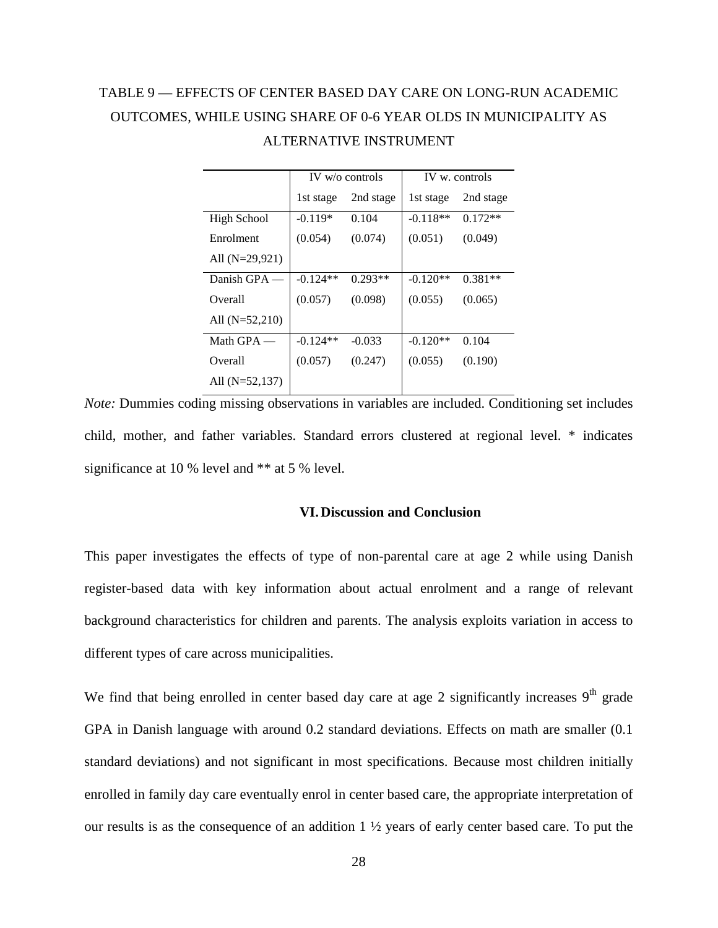# TABLE 9 — EFFECTS OF CENTER BASED DAY CARE ON LONG-RUN ACADEMIC OUTCOMES, WHILE USING SHARE OF 0-6 YEAR OLDS IN MUNICIPALITY AS ALTERNATIVE INSTRUMENT

|                  | $IV$ w/o controls |           |            | IV w. controls |
|------------------|-------------------|-----------|------------|----------------|
|                  | 1st stage         | 2nd stage | 1st stage  | 2nd stage      |
| High School      | $-0.119*$         | 0.104     | $-0.118**$ | $0.172**$      |
| Enrolment        | (0.054)           | (0.074)   | (0.051)    | (0.049)        |
| All $(N=29.921)$ |                   |           |            |                |
| Danish GPA -     | $-0.124**$        | $0.293**$ | $-0.120**$ | $0.381**$      |
| Overall          | (0.057)           | (0.098)   | (0.055)    | (0.065)        |
| All $(N=52,210)$ |                   |           |            |                |
| Math $GPA$ —     | $-0.124**$        | $-0.033$  | $-0.120**$ | 0.104          |
| Overall          | (0.057)           | (0.247)   | (0.055)    | (0.190)        |
| All $(N=52,137)$ |                   |           |            |                |

*Note:* Dummies coding missing observations in variables are included. Conditioning set includes child, mother, and father variables. Standard errors clustered at regional level. \* indicates significance at 10 % level and \*\* at 5 % level.

#### **VI.Discussion and Conclusion**

This paper investigates the effects of type of non-parental care at age 2 while using Danish register-based data with key information about actual enrolment and a range of relevant background characteristics for children and parents. The analysis exploits variation in access to different types of care across municipalities.

We find that being enrolled in center based day care at age 2 significantly increases  $9<sup>th</sup>$  grade GPA in Danish language with around 0.2 standard deviations. Effects on math are smaller (0.1 standard deviations) and not significant in most specifications. Because most children initially enrolled in family day care eventually enrol in center based care, the appropriate interpretation of our results is as the consequence of an addition 1 ½ years of early center based care. To put the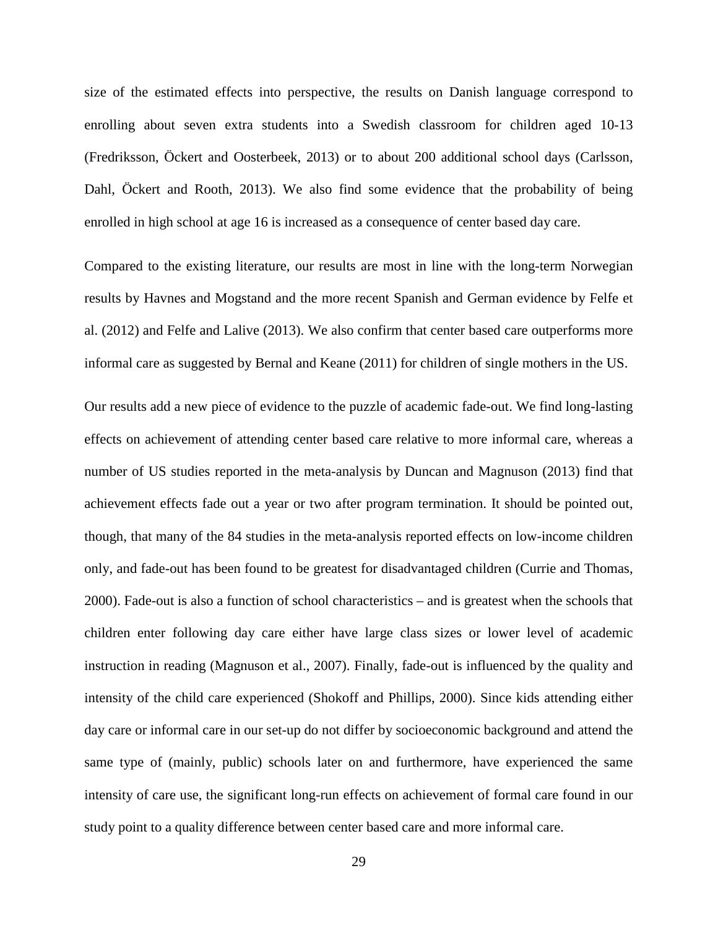size of the estimated effects into perspective, the results on Danish language correspond to enrolling about seven extra students into a Swedish classroom for children aged 10-13 (Fredriksson, Öckert and Oosterbeek, 2013) or to about 200 additional school days (Carlsson, Dahl, Öckert and Rooth, 2013). We also find some evidence that the probability of being enrolled in high school at age 16 is increased as a consequence of center based day care.

Compared to the existing literature, our results are most in line with the long-term Norwegian results by Havnes and Mogstand and the more recent Spanish and German evidence by Felfe et al. (2012) and Felfe and Lalive (2013). We also confirm that center based care outperforms more informal care as suggested by Bernal and Keane (2011) for children of single mothers in the US.

Our results add a new piece of evidence to the puzzle of academic fade-out. We find long-lasting effects on achievement of attending center based care relative to more informal care, whereas a number of US studies reported in the meta-analysis by Duncan and Magnuson (2013) find that achievement effects fade out a year or two after program termination. It should be pointed out, though, that many of the 84 studies in the meta-analysis reported effects on low-income children only, and fade-out has been found to be greatest for disadvantaged children (Currie and Thomas, 2000). Fade-out is also a function of school characteristics – and is greatest when the schools that children enter following day care either have large class sizes or lower level of academic instruction in reading (Magnuson et al., 2007). Finally, fade-out is influenced by the quality and intensity of the child care experienced (Shokoff and Phillips, 2000). Since kids attending either day care or informal care in our set-up do not differ by socioeconomic background and attend the same type of (mainly, public) schools later on and furthermore, have experienced the same intensity of care use, the significant long-run effects on achievement of formal care found in our study point to a quality difference between center based care and more informal care.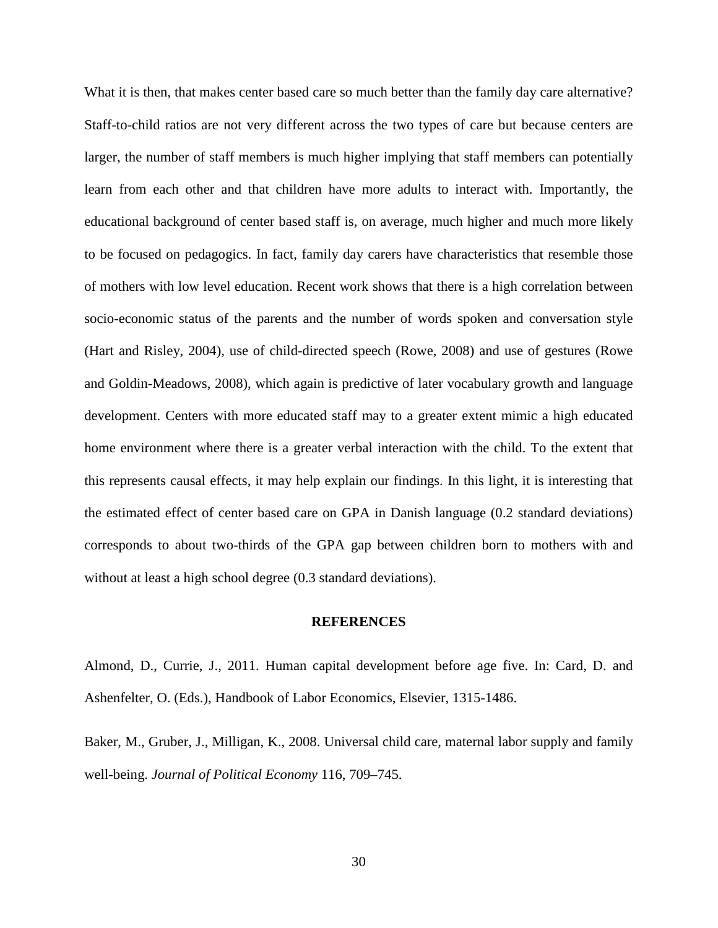What it is then, that makes center based care so much better than the family day care alternative? Staff-to-child ratios are not very different across the two types of care but because centers are larger, the number of staff members is much higher implying that staff members can potentially learn from each other and that children have more adults to interact with. Importantly, the educational background of center based staff is, on average, much higher and much more likely to be focused on pedagogics. In fact, family day carers have characteristics that resemble those of mothers with low level education. Recent work shows that there is a high correlation between socio-economic status of the parents and the number of words spoken and conversation style (Hart and Risley, 2004), use of child-directed speech (Rowe, 2008) and use of gestures (Rowe and Goldin-Meadows, 2008), which again is predictive of later vocabulary growth and language development. Centers with more educated staff may to a greater extent mimic a high educated home environment where there is a greater verbal interaction with the child. To the extent that this represents causal effects, it may help explain our findings. In this light, it is interesting that the estimated effect of center based care on GPA in Danish language (0.2 standard deviations) corresponds to about two-thirds of the GPA gap between children born to mothers with and without at least a high school degree  $(0.3 \text{ standard deviations}).$ 

#### **REFERENCES**

Almond, D., Currie, J., 2011. Human capital development before age five. In: Card, D. and Ashenfelter, O. (Eds.), Handbook of Labor Economics, Elsevier, 1315-1486.

Baker, M., Gruber, J., Milligan, K., 2008. Universal child care, maternal labor supply and family well-being. *Journal of Political Economy* 116, 709–745.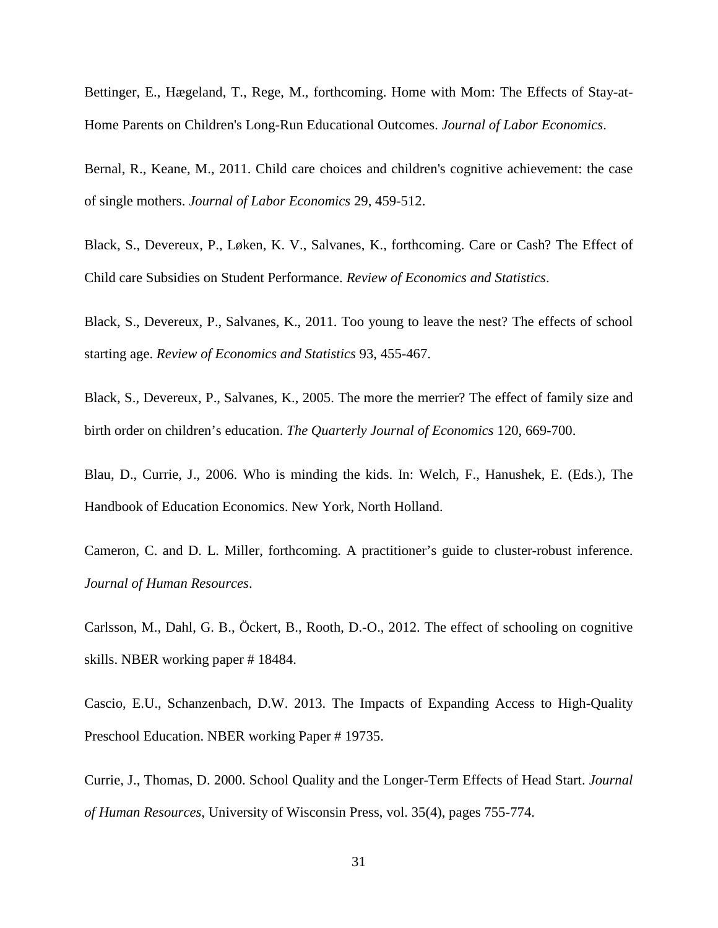Bettinger, E., Hægeland, T., Rege, M., forthcoming. Home with Mom: The Effects of Stay-at-Home Parents on Children's Long-Run Educational Outcomes. *Journal of Labor Economics*.

Bernal, R., Keane, M., 2011. Child care choices and children's cognitive achievement: the case of single mothers. *Journal of Labor Economics* 29, 459-512.

Black, S., Devereux, P., Løken, K. V., Salvanes, K., forthcoming. Care or Cash? The Effect of Child care Subsidies on Student Performance. *Review of Economics and Statistics*.

Black, S., Devereux, P., Salvanes, K., 2011. Too young to leave the nest? The effects of school starting age. *Review of Economics and Statistics* 93, 455-467.

Black, S., Devereux, P., Salvanes, K., 2005. The more the merrier? The effect of family size and birth order on children's education. *The Quarterly Journal of Economics* 120, 669-700.

Blau, D., Currie, J., 2006. Who is minding the kids. In: Welch, F., Hanushek, E. (Eds.), The Handbook of Education Economics. New York, North Holland.

Cameron, C. and D. L. Miller, forthcoming. A practitioner's guide to cluster-robust inference. *Journal of Human Resources*.

Carlsson, M., Dahl, G. B., Öckert, B., Rooth, D.-O., 2012. The effect of schooling on cognitive skills. NBER working paper # 18484.

Cascio, E.U., Schanzenbach, D.W. 2013. The Impacts of Expanding Access to High-Quality Preschool Education. NBER working Paper # 19735.

Currie, J., Thomas, D. 2000. [School Quality and the Longer-Term Effects of Head Start.](https://ideas.repec.org/a/uwp/jhriss/v35y2000i4p755-774.html) *[Journal](https://ideas.repec.org/s/uwp/jhriss.html)  [of Human Resources](https://ideas.repec.org/s/uwp/jhriss.html)*, University of Wisconsin Press, vol. 35(4), pages 755-774.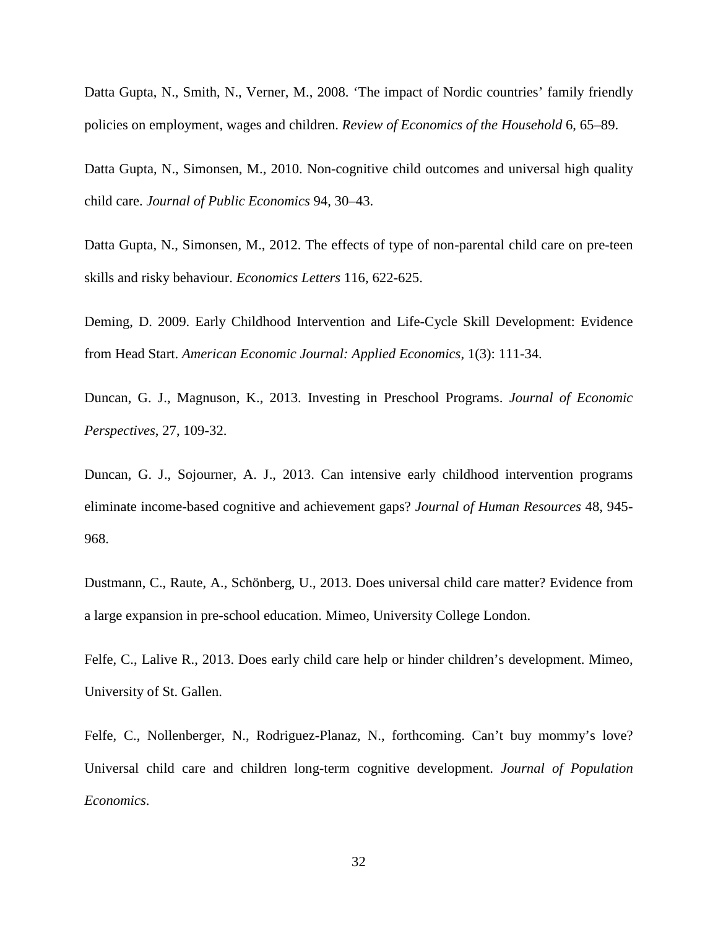Datta Gupta, N., Smith, N., Verner, M., 2008. 'The impact of Nordic countries' family friendly policies on employment, wages and children. *Review of Economics of the Household* 6, 65–89.

Datta Gupta, N., Simonsen, M., 2010. Non-cognitive child outcomes and universal high quality child care. *Journal of Public Economics* 94, 30–43.

Datta Gupta, N., Simonsen, M., 2012. The effects of type of non-parental child care on pre-teen skills and risky behaviour. *Economics Letters* 116, 622-625.

Deming, D. 2009. Early Childhood Intervention and Life-Cycle Skill Development: Evidence from Head Start. *American Economic Journal: Applied Economics*, 1(3): 111-34.

Duncan, G. J., Magnuson, K., 2013. Investing in Preschool Programs. *Journal of Economic Perspectives*, 27, 109-32.

Duncan, G. J., Sojourner, A. J., 2013. Can intensive early childhood intervention programs eliminate income-based cognitive and achievement gaps? *Journal of Human Resources* 48, 945- 968.

Dustmann, C., Raute, A., Schönberg, U., 2013. Does universal child care matter? Evidence from a large expansion in pre-school education. Mimeo, University College London.

Felfe, C., Lalive R., 2013. Does early child care help or hinder children's development. Mimeo, University of St. Gallen.

Felfe, C., Nollenberger, N., Rodriguez-Planaz, N., forthcoming. Can't buy mommy's love? Universal child care and children long-term cognitive development. *Journal of Population Economics*.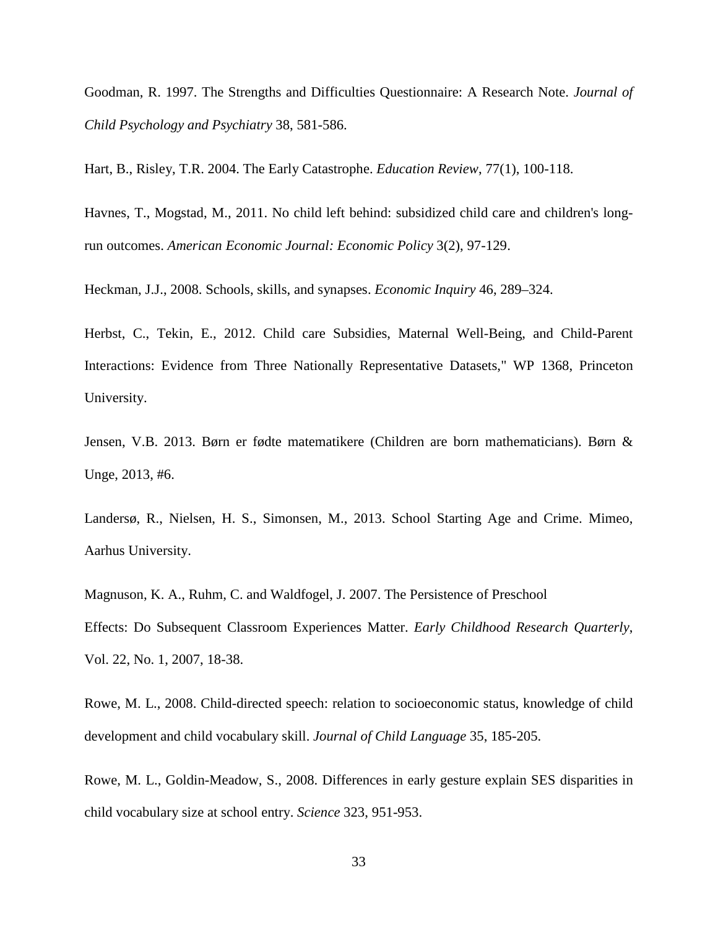Goodman, R. 1997. The Strengths and Difficulties Questionnaire: A Research Note. *Journal of Child Psychology and Psychiatry* 38, 581-586.

Hart, B., Risley, T.R. 2004. The Early Catastrophe. *Education Review*, 77(1), 100-118.

Havnes, T., Mogstad, M., 2011. No child left behind: subsidized child care and children's longrun outcomes. *American Economic Journal: Economic Policy* 3(2), 97-129.

Heckman, J.J., 2008. Schools, skills, and synapses. *Economic Inquiry* 46, 289–324.

Herbst, C., Tekin, E., 2012. Child care Subsidies, Maternal Well-Being, and Child-Parent Interactions: Evidence from Three Nationally Representative Datasets," WP 1368, Princeton University.

Jensen, V.B. 2013. Børn er fødte matematikere (Children are born mathematicians). Børn & Unge, 2013, #6.

Landersø, R., Nielsen, H. S., Simonsen, M., 2013. School Starting Age and Crime. Mimeo, Aarhus University.

Magnuson, K. A., Ruhm, C. and Waldfogel, J. 2007. The Persistence of Preschool Effects: Do Subsequent Classroom Experiences Matter. *Early Childhood Research Quarterly*, Vol. 22, No. 1, 2007, 18-38.

Rowe, M. L., 2008. Child-directed speech: relation to socioeconomic status, knowledge of child development and child vocabulary skill. *Journal of Child Language* 35, 185-205.

Rowe, M. L., Goldin-Meadow, S., 2008. Differences in early gesture explain SES disparities in child vocabulary size at school entry. *Science* 323, 951-953.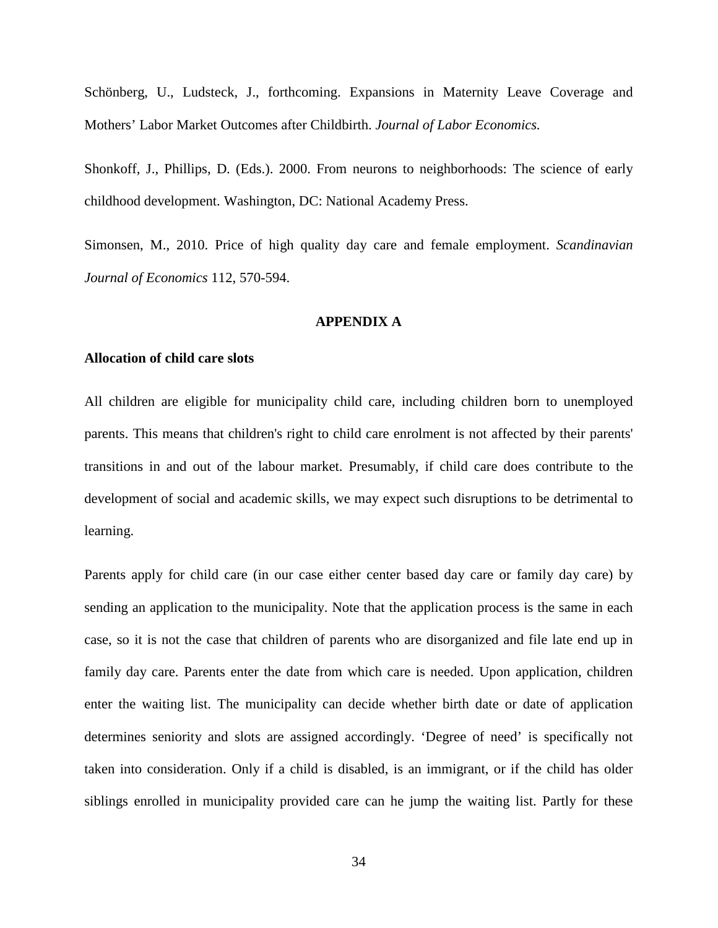Schönberg, U., Ludsteck, J., forthcoming. Expansions in Maternity Leave Coverage and Mothers' Labor Market Outcomes after Childbirth. *Journal of Labor Economics.*

Shonkoff, J., Phillips, D. (Eds.). 2000. From neurons to neighborhoods: The science of early childhood development. Washington, DC: National Academy Press.

Simonsen, M., 2010. Price of high quality day care and female employment. *Scandinavian Journal of Economics* 112, 570-594.

#### **APPENDIX A**

#### **Allocation of child care slots**

All children are eligible for municipality child care, including children born to unemployed parents. This means that children's right to child care enrolment is not affected by their parents' transitions in and out of the labour market. Presumably, if child care does contribute to the development of social and academic skills, we may expect such disruptions to be detrimental to learning.

Parents apply for child care (in our case either center based day care or family day care) by sending an application to the municipality. Note that the application process is the same in each case, so it is not the case that children of parents who are disorganized and file late end up in family day care. Parents enter the date from which care is needed. Upon application, children enter the waiting list. The municipality can decide whether birth date or date of application determines seniority and slots are assigned accordingly. 'Degree of need' is specifically not taken into consideration. Only if a child is disabled, is an immigrant, or if the child has older siblings enrolled in municipality provided care can he jump the waiting list. Partly for these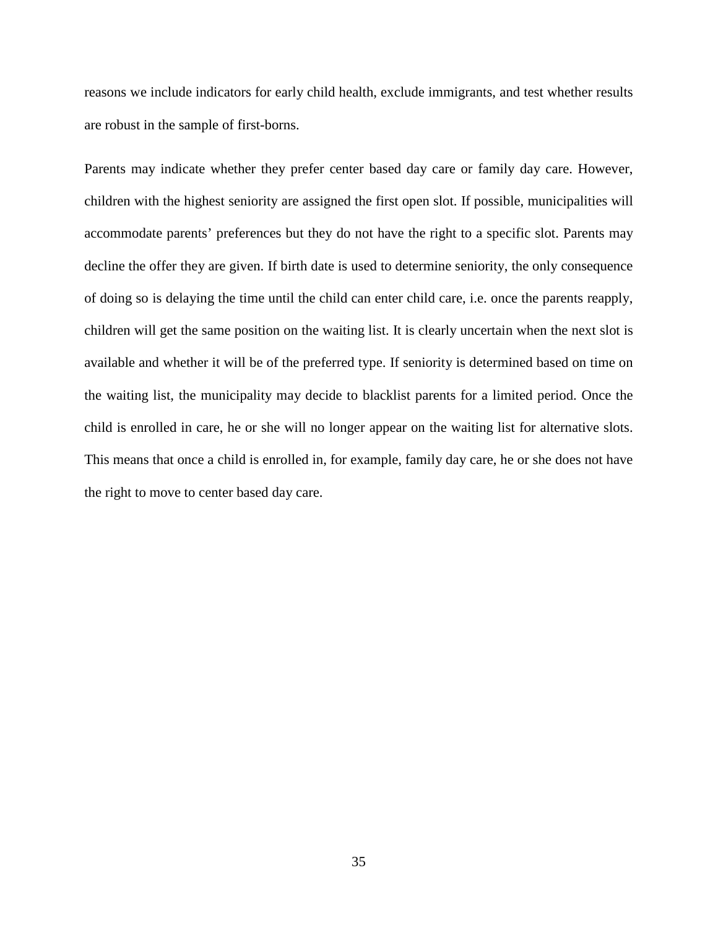reasons we include indicators for early child health, exclude immigrants, and test whether results are robust in the sample of first-borns.

Parents may indicate whether they prefer center based day care or family day care. However, children with the highest seniority are assigned the first open slot. If possible, municipalities will accommodate parents' preferences but they do not have the right to a specific slot. Parents may decline the offer they are given. If birth date is used to determine seniority, the only consequence of doing so is delaying the time until the child can enter child care, i.e. once the parents reapply, children will get the same position on the waiting list. It is clearly uncertain when the next slot is available and whether it will be of the preferred type. If seniority is determined based on time on the waiting list, the municipality may decide to blacklist parents for a limited period. Once the child is enrolled in care, he or she will no longer appear on the waiting list for alternative slots. This means that once a child is enrolled in, for example, family day care, he or she does not have the right to move to center based day care.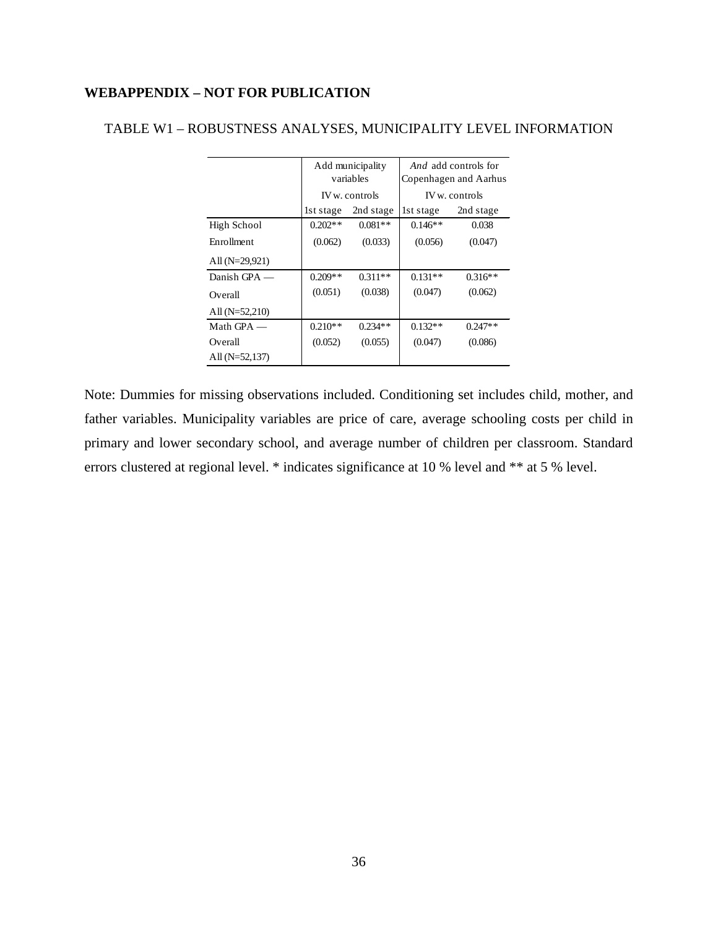### **WEBAPPENDIX – NOT FOR PUBLICATION**

|                  | Add municipality |                |           | <i>And</i> add controls for |  |  |
|------------------|------------------|----------------|-----------|-----------------------------|--|--|
|                  |                  | variables      |           | Copenhagen and Aarhus       |  |  |
|                  |                  | IV w. controls |           | IV w. controls              |  |  |
|                  | lst stage        | 2nd stage      | 1st stage | 2nd stage                   |  |  |
| High School      | $0.202**$        | $0.081**$      | $0.146**$ | 0.038                       |  |  |
| Enrollment       | (0.062)          | (0.033)        | (0.056)   | (0.047)                     |  |  |
| All $(N=29,921)$ |                  |                |           |                             |  |  |
| Danish GPA $-$   | $0.209**$        | $0.311**$      | $0.131**$ | $0.316**$                   |  |  |
| Overall          | (0.051)          | (0.038)        | (0.047)   | (0.062)                     |  |  |
| All $(N=52,210)$ |                  |                |           |                             |  |  |
| Math $GPA$ —     | $0.210**$        | $0.234**$      | $0.132**$ | $0.247**$                   |  |  |
| Overall          | (0.052)          | (0.055)        | (0.047)   | (0.086)                     |  |  |
| All $(N=52,137)$ |                  |                |           |                             |  |  |

#### TABLE W1 – ROBUSTNESS ANALYSES, MUNICIPALITY LEVEL INFORMATION

Note: Dummies for missing observations included. Conditioning set includes child, mother, and father variables. Municipality variables are price of care, average schooling costs per child in primary and lower secondary school, and average number of children per classroom. Standard errors clustered at regional level. \* indicates significance at 10 % level and \*\* at 5 % level.